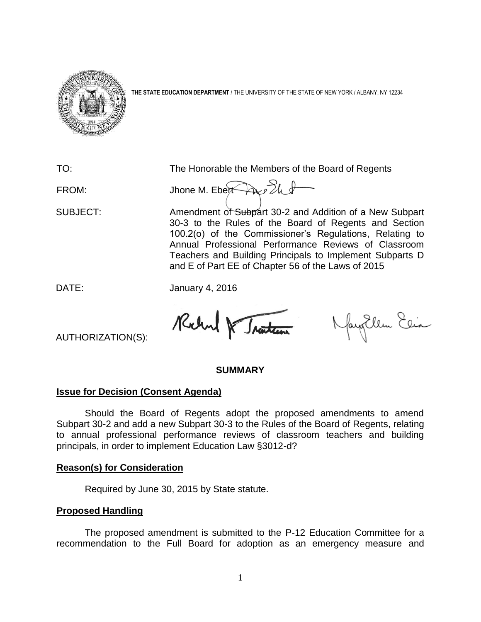

**THE STATE EDUCATION DEPARTMENT** / THE UNIVERSITY OF THE STATE OF NEW YORK / ALBANY, NY 12234

TO: The Honorable the Members of the Board of Regents

FROM: Jhone M. Eben And The

SUBJECT: Amendment of Subpart 30-2 and Addition of a New Subpart 30-3 to the Rules of the Board of Regents and Section 100.2(o) of the Commissioner's Regulations, Relating to Annual Professional Performance Reviews of Classroom Teachers and Building Principals to Implement Subparts D and E of Part EE of Chapter 56 of the Laws of 2015

DATE: January 4, 2016

Rochel & Traiten

Nayollen Elia

AUTHORIZATION(S):

## **SUMMARY**

# **Issue for Decision (Consent Agenda)**

Should the Board of Regents adopt the proposed amendments to amend Subpart 30-2 and add a new Subpart 30-3 to the Rules of the Board of Regents, relating to annual professional performance reviews of classroom teachers and building principals, in order to implement Education Law §3012-d?

## **Reason(s) for Consideration**

Required by June 30, 2015 by State statute.

# **Proposed Handling**

The proposed amendment is submitted to the P-12 Education Committee for a recommendation to the Full Board for adoption as an emergency measure and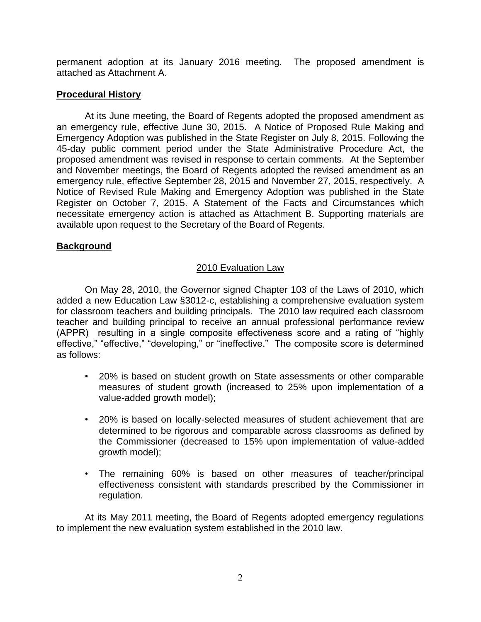permanent adoption at its January 2016 meeting. The proposed amendment is attached as Attachment A.

## **Procedural History**

At its June meeting, the Board of Regents adopted the proposed amendment as an emergency rule, effective June 30, 2015. A Notice of Proposed Rule Making and Emergency Adoption was published in the State Register on July 8, 2015. Following the 45-day public comment period under the State Administrative Procedure Act, the proposed amendment was revised in response to certain comments. At the September and November meetings, the Board of Regents adopted the revised amendment as an emergency rule, effective September 28, 2015 and November 27, 2015, respectively. A Notice of Revised Rule Making and Emergency Adoption was published in the State Register on October 7, 2015. A Statement of the Facts and Circumstances which necessitate emergency action is attached as Attachment B. Supporting materials are available upon request to the Secretary of the Board of Regents.

# **Background**

# 2010 Evaluation Law

On May 28, 2010, the Governor signed Chapter 103 of the Laws of 2010, which added a new Education Law §3012-c, establishing a comprehensive evaluation system for classroom teachers and building principals. The 2010 law required each classroom teacher and building principal to receive an annual professional performance review (APPR) resulting in a single composite effectiveness score and a rating of "highly effective," "effective," "developing," or "ineffective." The composite score is determined as follows:

- 20% is based on student growth on State assessments or other comparable measures of student growth (increased to 25% upon implementation of a value-added growth model);
- 20% is based on locally-selected measures of student achievement that are determined to be rigorous and comparable across classrooms as defined by the Commissioner (decreased to 15% upon implementation of value-added growth model);
- The remaining 60% is based on other measures of teacher/principal effectiveness consistent with standards prescribed by the Commissioner in regulation.

At its May 2011 meeting, the Board of Regents adopted emergency regulations to implement the new evaluation system established in the 2010 law.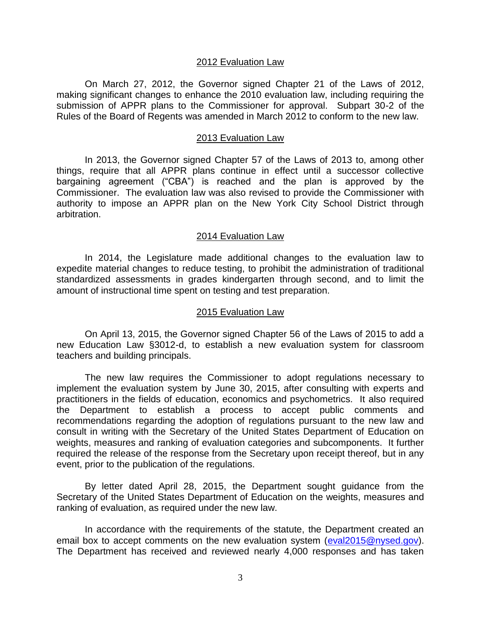#### 2012 Evaluation Law

On March 27, 2012, the Governor signed Chapter 21 of the Laws of 2012, making significant changes to enhance the 2010 evaluation law, including requiring the submission of APPR plans to the Commissioner for approval. Subpart 30-2 of the Rules of the Board of Regents was amended in March 2012 to conform to the new law.

#### 2013 Evaluation Law

In 2013, the Governor signed Chapter 57 of the Laws of 2013 to, among other things, require that all APPR plans continue in effect until a successor collective bargaining agreement ("CBA") is reached and the plan is approved by the Commissioner. The evaluation law was also revised to provide the Commissioner with authority to impose an APPR plan on the New York City School District through arbitration.

#### 2014 Evaluation Law

In 2014, the Legislature made additional changes to the evaluation law to expedite material changes to reduce testing, to prohibit the administration of traditional standardized assessments in grades kindergarten through second, and to limit the amount of instructional time spent on testing and test preparation.

#### 2015 Evaluation Law

On April 13, 2015, the Governor signed Chapter 56 of the Laws of 2015 to add a new Education Law §3012-d, to establish a new evaluation system for classroom teachers and building principals.

The new law requires the Commissioner to adopt regulations necessary to implement the evaluation system by June 30, 2015, after consulting with experts and practitioners in the fields of education, economics and psychometrics. It also required the Department to establish a process to accept public comments and recommendations regarding the adoption of regulations pursuant to the new law and consult in writing with the Secretary of the United States Department of Education on weights, measures and ranking of evaluation categories and subcomponents. It further required the release of the response from the Secretary upon receipt thereof, but in any event, prior to the publication of the regulations.

By letter dated April 28, 2015, the Department sought guidance from the Secretary of the United States Department of Education on the weights, measures and ranking of evaluation, as required under the new law.

In accordance with the requirements of the statute, the Department created an email box to accept comments on the new evaluation system [\(eval2015@nysed.gov\)](mailto:eval2015@nysed.gov). The Department has received and reviewed nearly 4,000 responses and has taken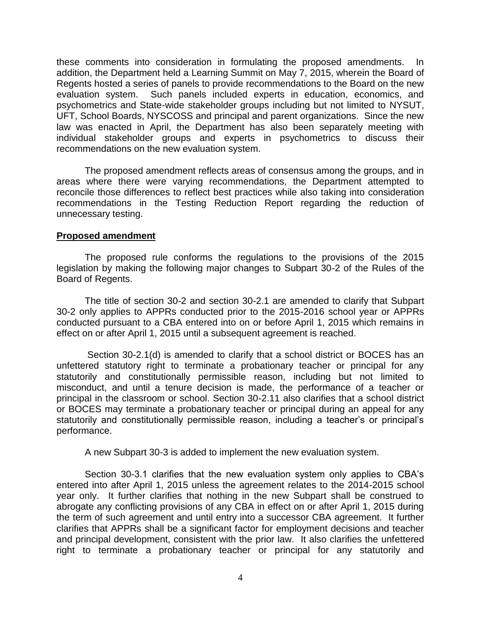these comments into consideration in formulating the proposed amendments. In addition, the Department held a Learning Summit on May 7, 2015, wherein the Board of Regents hosted a series of panels to provide recommendations to the Board on the new evaluation system. Such panels included experts in education, economics, and psychometrics and State-wide stakeholder groups including but not limited to NYSUT, UFT, School Boards, NYSCOSS and principal and parent organizations. Since the new law was enacted in April, the Department has also been separately meeting with individual stakeholder groups and experts in psychometrics to discuss their recommendations on the new evaluation system.

The proposed amendment reflects areas of consensus among the groups, and in areas where there were varying recommendations, the Department attempted to reconcile those differences to reflect best practices while also taking into consideration recommendations in the Testing Reduction Report regarding the reduction of unnecessary testing.

## **Proposed amendment**

The proposed rule conforms the regulations to the provisions of the 2015 legislation by making the following major changes to Subpart 30-2 of the Rules of the Board of Regents.

The title of section 30-2 and section 30-2.1 are amended to clarify that Subpart 30-2 only applies to APPRs conducted prior to the 2015-2016 school year or APPRs conducted pursuant to a CBA entered into on or before April 1, 2015 which remains in effect on or after April 1, 2015 until a subsequent agreement is reached.

Section 30-2.1(d) is amended to clarify that a school district or BOCES has an unfettered statutory right to terminate a probationary teacher or principal for any statutorily and constitutionally permissible reason, including but not limited to misconduct, and until a tenure decision is made, the performance of a teacher or principal in the classroom or school. Section 30-2.11 also clarifies that a school district or BOCES may terminate a probationary teacher or principal during an appeal for any statutorily and constitutionally permissible reason, including a teacher's or principal's performance.

A new Subpart 30-3 is added to implement the new evaluation system.

Section 30-3.1 clarifies that the new evaluation system only applies to CBA's entered into after April 1, 2015 unless the agreement relates to the 2014-2015 school year only. It further clarifies that nothing in the new Subpart shall be construed to abrogate any conflicting provisions of any CBA in effect on or after April 1, 2015 during the term of such agreement and until entry into a successor CBA agreement. It further clarifies that APPRs shall be a significant factor for employment decisions and teacher and principal development, consistent with the prior law. It also clarifies the unfettered right to terminate a probationary teacher or principal for any statutorily and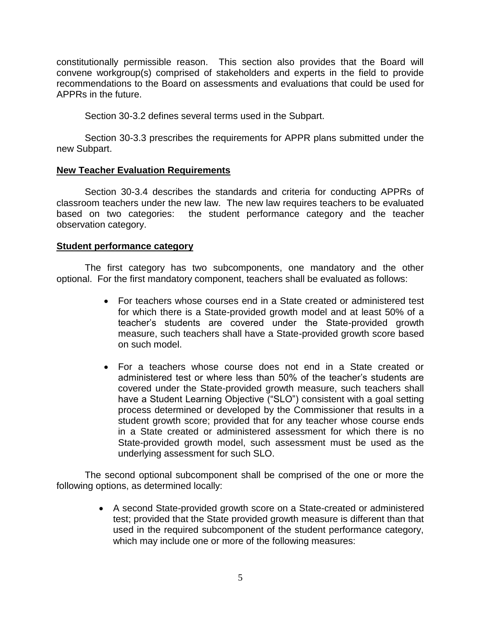constitutionally permissible reason. This section also provides that the Board will convene workgroup(s) comprised of stakeholders and experts in the field to provide recommendations to the Board on assessments and evaluations that could be used for APPRs in the future.

Section 30-3.2 defines several terms used in the Subpart.

Section 30-3.3 prescribes the requirements for APPR plans submitted under the new Subpart.

## **New Teacher Evaluation Requirements**

Section 30-3.4 describes the standards and criteria for conducting APPRs of classroom teachers under the new law. The new law requires teachers to be evaluated based on two categories: the student performance category and the teacher observation category.

## **Student performance category**

The first category has two subcomponents, one mandatory and the other optional. For the first mandatory component, teachers shall be evaluated as follows:

- For teachers whose courses end in a State created or administered test for which there is a State-provided growth model and at least 50% of a teacher's students are covered under the State-provided growth measure, such teachers shall have a State-provided growth score based on such model.
- For a teachers whose course does not end in a State created or administered test or where less than 50% of the teacher's students are covered under the State-provided growth measure, such teachers shall have a Student Learning Objective ("SLO") consistent with a goal setting process determined or developed by the Commissioner that results in a student growth score; provided that for any teacher whose course ends in a State created or administered assessment for which there is no State-provided growth model, such assessment must be used as the underlying assessment for such SLO.

The second optional subcomponent shall be comprised of the one or more the following options, as determined locally:

> A second State-provided growth score on a State-created or administered test; provided that the State provided growth measure is different than that used in the required subcomponent of the student performance category, which may include one or more of the following measures: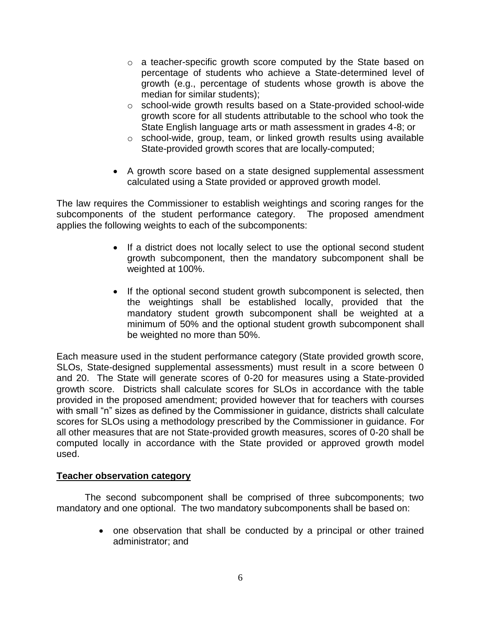- o a teacher-specific growth score computed by the State based on percentage of students who achieve a State-determined level of growth (e.g., percentage of students whose growth is above the median for similar students);
- o school-wide growth results based on a State-provided school-wide growth score for all students attributable to the school who took the State English language arts or math assessment in grades 4-8; or
- o school-wide, group, team, or linked growth results using available State-provided growth scores that are locally-computed;
- A growth score based on a state designed supplemental assessment calculated using a State provided or approved growth model.

The law requires the Commissioner to establish weightings and scoring ranges for the subcomponents of the student performance category. The proposed amendment applies the following weights to each of the subcomponents:

- If a district does not locally select to use the optional second student growth subcomponent, then the mandatory subcomponent shall be weighted at 100%.
- If the optional second student growth subcomponent is selected, then the weightings shall be established locally, provided that the mandatory student growth subcomponent shall be weighted at a minimum of 50% and the optional student growth subcomponent shall be weighted no more than 50%.

Each measure used in the student performance category (State provided growth score, SLOs, State-designed supplemental assessments) must result in a score between 0 and 20. The State will generate scores of 0-20 for measures using a State-provided growth score. Districts shall calculate scores for SLOs in accordance with the table provided in the proposed amendment; provided however that for teachers with courses with small "n" sizes as defined by the Commissioner in quidance, districts shall calculate scores for SLOs using a methodology prescribed by the Commissioner in guidance. For all other measures that are not State-provided growth measures, scores of 0-20 shall be computed locally in accordance with the State provided or approved growth model used.

# **Teacher observation category**

The second subcomponent shall be comprised of three subcomponents; two mandatory and one optional. The two mandatory subcomponents shall be based on:

> • one observation that shall be conducted by a principal or other trained administrator; and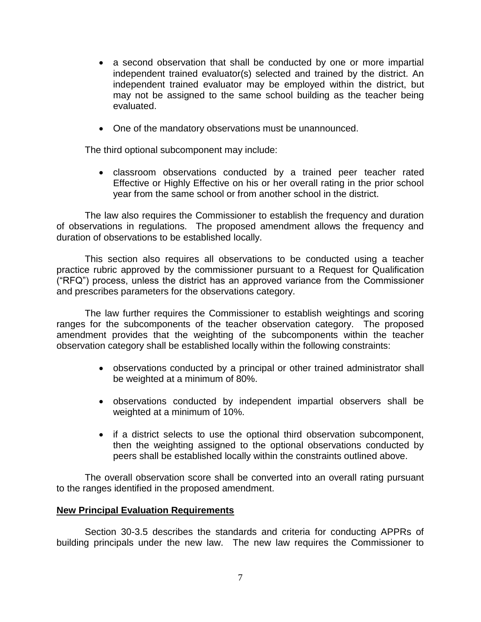- a second observation that shall be conducted by one or more impartial independent trained evaluator(s) selected and trained by the district. An independent trained evaluator may be employed within the district, but may not be assigned to the same school building as the teacher being evaluated.
- One of the mandatory observations must be unannounced.

The third optional subcomponent may include:

 classroom observations conducted by a trained peer teacher rated Effective or Highly Effective on his or her overall rating in the prior school year from the same school or from another school in the district.

The law also requires the Commissioner to establish the frequency and duration of observations in regulations. The proposed amendment allows the frequency and duration of observations to be established locally.

This section also requires all observations to be conducted using a teacher practice rubric approved by the commissioner pursuant to a Request for Qualification ("RFQ") process, unless the district has an approved variance from the Commissioner and prescribes parameters for the observations category.

The law further requires the Commissioner to establish weightings and scoring ranges for the subcomponents of the teacher observation category. The proposed amendment provides that the weighting of the subcomponents within the teacher observation category shall be established locally within the following constraints:

- observations conducted by a principal or other trained administrator shall be weighted at a minimum of 80%.
- observations conducted by independent impartial observers shall be weighted at a minimum of 10%.
- if a district selects to use the optional third observation subcomponent, then the weighting assigned to the optional observations conducted by peers shall be established locally within the constraints outlined above.

The overall observation score shall be converted into an overall rating pursuant to the ranges identified in the proposed amendment.

## **New Principal Evaluation Requirements**

Section 30-3.5 describes the standards and criteria for conducting APPRs of building principals under the new law. The new law requires the Commissioner to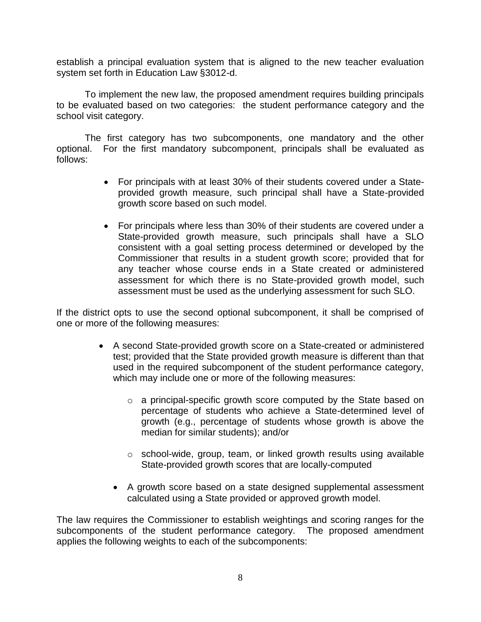establish a principal evaluation system that is aligned to the new teacher evaluation system set forth in Education Law §3012-d.

To implement the new law, the proposed amendment requires building principals to be evaluated based on two categories: the student performance category and the school visit category.

The first category has two subcomponents, one mandatory and the other optional. For the first mandatory subcomponent, principals shall be evaluated as follows:

- For principals with at least 30% of their students covered under a Stateprovided growth measure, such principal shall have a State-provided growth score based on such model.
- For principals where less than 30% of their students are covered under a State-provided growth measure, such principals shall have a SLO consistent with a goal setting process determined or developed by the Commissioner that results in a student growth score; provided that for any teacher whose course ends in a State created or administered assessment for which there is no State-provided growth model, such assessment must be used as the underlying assessment for such SLO.

If the district opts to use the second optional subcomponent, it shall be comprised of one or more of the following measures:

- A second State-provided growth score on a State-created or administered test; provided that the State provided growth measure is different than that used in the required subcomponent of the student performance category, which may include one or more of the following measures:
	- o a principal-specific growth score computed by the State based on percentage of students who achieve a State-determined level of growth (e.g., percentage of students whose growth is above the median for similar students); and/or
	- o school-wide, group, team, or linked growth results using available State-provided growth scores that are locally-computed
	- A growth score based on a state designed supplemental assessment calculated using a State provided or approved growth model.

The law requires the Commissioner to establish weightings and scoring ranges for the subcomponents of the student performance category. The proposed amendment applies the following weights to each of the subcomponents: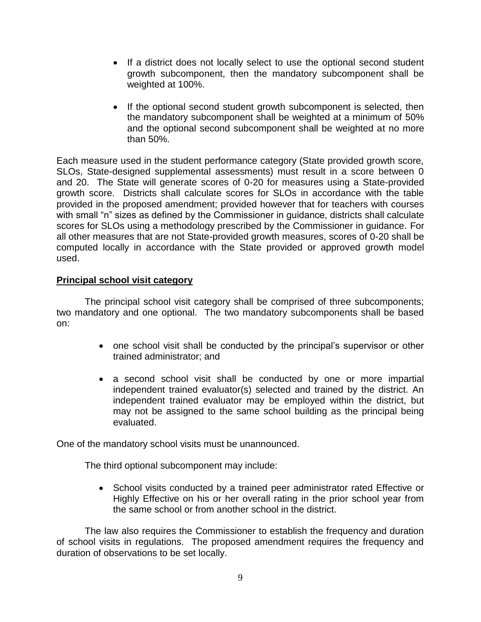- If a district does not locally select to use the optional second student growth subcomponent, then the mandatory subcomponent shall be weighted at 100%.
- If the optional second student growth subcomponent is selected, then the mandatory subcomponent shall be weighted at a minimum of 50% and the optional second subcomponent shall be weighted at no more than 50%.

Each measure used in the student performance category (State provided growth score, SLOs, State-designed supplemental assessments) must result in a score between 0 and 20. The State will generate scores of 0-20 for measures using a State-provided growth score. Districts shall calculate scores for SLOs in accordance with the table provided in the proposed amendment; provided however that for teachers with courses with small "n" sizes as defined by the Commissioner in guidance, districts shall calculate scores for SLOs using a methodology prescribed by the Commissioner in guidance. For all other measures that are not State-provided growth measures, scores of 0-20 shall be computed locally in accordance with the State provided or approved growth model used.

# **Principal school visit category**

The principal school visit category shall be comprised of three subcomponents; two mandatory and one optional. The two mandatory subcomponents shall be based on:

- one school visit shall be conducted by the principal's supervisor or other trained administrator; and
- a second school visit shall be conducted by one or more impartial independent trained evaluator(s) selected and trained by the district. An independent trained evaluator may be employed within the district, but may not be assigned to the same school building as the principal being evaluated.

One of the mandatory school visits must be unannounced.

The third optional subcomponent may include:

• School visits conducted by a trained peer administrator rated Effective or Highly Effective on his or her overall rating in the prior school year from the same school or from another school in the district.

The law also requires the Commissioner to establish the frequency and duration of school visits in regulations. The proposed amendment requires the frequency and duration of observations to be set locally.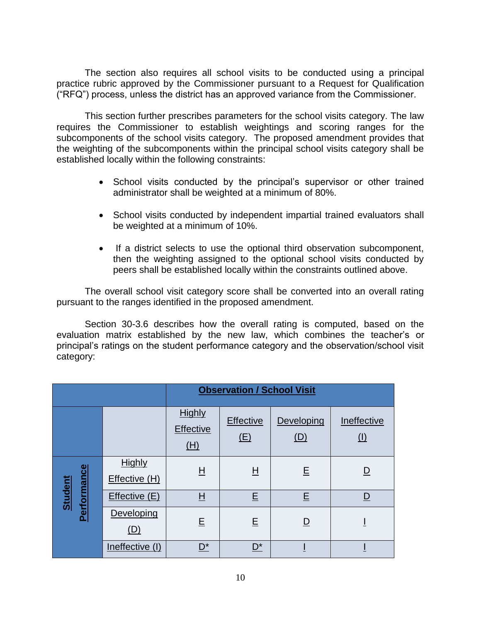The section also requires all school visits to be conducted using a principal practice rubric approved by the Commissioner pursuant to a Request for Qualification ("RFQ") process, unless the district has an approved variance from the Commissioner.

This section further prescribes parameters for the school visits category. The law requires the Commissioner to establish weightings and scoring ranges for the subcomponents of the school visits category. The proposed amendment provides that the weighting of the subcomponents within the principal school visits category shall be established locally within the following constraints:

- School visits conducted by the principal's supervisor or other trained administrator shall be weighted at a minimum of 80%.
- School visits conducted by independent impartial trained evaluators shall be weighted at a minimum of 10%.
- If a district selects to use the optional third observation subcomponent, then the weighting assigned to the optional school visits conducted by peers shall be established locally within the constraints outlined above.

The overall school visit category score shall be converted into an overall rating pursuant to the ranges identified in the proposed amendment.

Section 30-3.6 describes how the overall rating is computed, based on the evaluation matrix established by the new law, which combines the teacher's or principal's ratings on the student performance category and the observation/school visit category:

|                                      |                                | <b>Observation / School Visit</b>        |                  |                          |                    |
|--------------------------------------|--------------------------------|------------------------------------------|------------------|--------------------------|--------------------|
|                                      |                                | <b>Highly</b><br><b>Effective</b><br>(H) | Effective<br>(E) | Developing<br><u>(D)</u> | Ineffective<br>(1) |
| <b>Performance</b><br><b>Student</b> | <b>Highly</b><br>Effective (H) | $\overline{\mathsf{H}}$                  | $\underline{H}$  | E                        | <u>D</u>           |
|                                      | Effective (E)                  | H                                        | E                | E                        | D                  |
|                                      | Developing<br><u>(D)</u>       | E                                        | E                | $\overline{\mathsf{D}}$  | Т                  |
|                                      | Ineffective (I)                | $\mathsf{D}^{\star}$                     | $\mathsf{D}^*$   |                          |                    |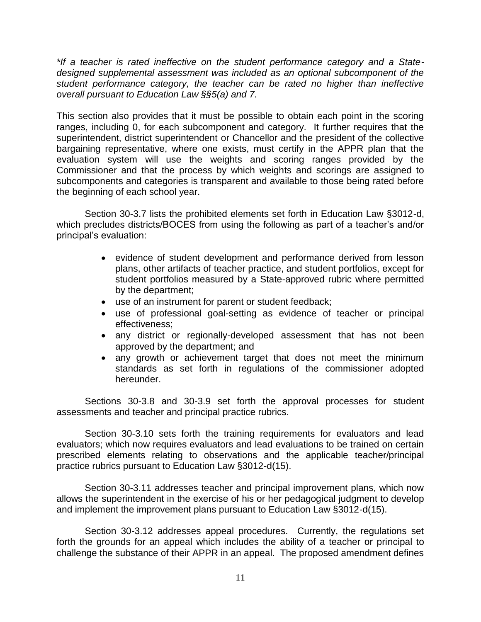*\*If a teacher is rated ineffective on the student performance category and a Statedesigned supplemental assessment was included as an optional subcomponent of the student performance category, the teacher can be rated no higher than ineffective overall pursuant to Education Law §§5(a) and 7.* 

This section also provides that it must be possible to obtain each point in the scoring ranges, including 0, for each subcomponent and category. It further requires that the superintendent, district superintendent or Chancellor and the president of the collective bargaining representative, where one exists, must certify in the APPR plan that the evaluation system will use the weights and scoring ranges provided by the Commissioner and that the process by which weights and scorings are assigned to subcomponents and categories is transparent and available to those being rated before the beginning of each school year.

Section 30-3.7 lists the prohibited elements set forth in Education Law §3012-d, which precludes districts/BOCES from using the following as part of a teacher's and/or principal's evaluation:

- evidence of student development and performance derived from lesson plans, other artifacts of teacher practice, and student portfolios, except for student portfolios measured by a State-approved rubric where permitted by the department;
- use of an instrument for parent or student feedback;
- use of professional goal-setting as evidence of teacher or principal effectiveness;
- any district or regionally-developed assessment that has not been approved by the department; and
- any growth or achievement target that does not meet the minimum standards as set forth in regulations of the commissioner adopted hereunder.

Sections 30-3.8 and 30-3.9 set forth the approval processes for student assessments and teacher and principal practice rubrics.

Section 30-3.10 sets forth the training requirements for evaluators and lead evaluators; which now requires evaluators and lead evaluations to be trained on certain prescribed elements relating to observations and the applicable teacher/principal practice rubrics pursuant to Education Law §3012-d(15).

Section 30-3.11 addresses teacher and principal improvement plans, which now allows the superintendent in the exercise of his or her pedagogical judgment to develop and implement the improvement plans pursuant to Education Law §3012-d(15).

Section 30-3.12 addresses appeal procedures. Currently, the regulations set forth the grounds for an appeal which includes the ability of a teacher or principal to challenge the substance of their APPR in an appeal. The proposed amendment defines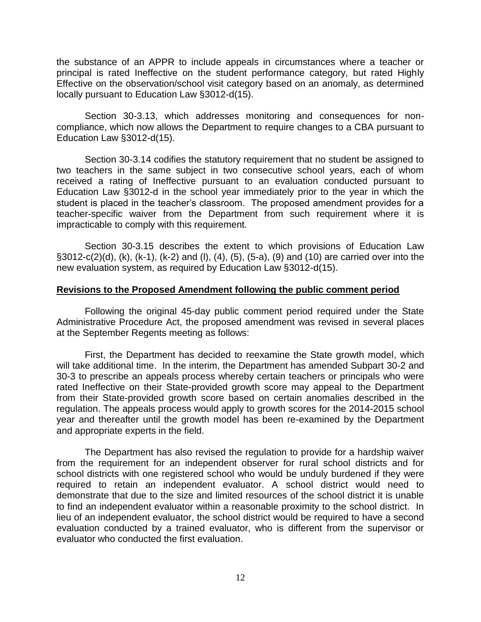the substance of an APPR to include appeals in circumstances where a teacher or principal is rated Ineffective on the student performance category, but rated Highly Effective on the observation/school visit category based on an anomaly, as determined locally pursuant to Education Law §3012-d(15).

Section 30-3.13, which addresses monitoring and consequences for noncompliance, which now allows the Department to require changes to a CBA pursuant to Education Law §3012-d(15).

Section 30-3.14 codifies the statutory requirement that no student be assigned to two teachers in the same subject in two consecutive school years, each of whom received a rating of Ineffective pursuant to an evaluation conducted pursuant to Education Law §3012-d in the school year immediately prior to the year in which the student is placed in the teacher's classroom. The proposed amendment provides for a teacher-specific waiver from the Department from such requirement where it is impracticable to comply with this requirement.

Section 30-3.15 describes the extent to which provisions of Education Law §3012-c(2)(d), (k), (k-1), (k-2) and (l), (4), (5), (5-a), (9) and (10) are carried over into the new evaluation system, as required by Education Law §3012-d(15).

#### **Revisions to the Proposed Amendment following the public comment period**

Following the original 45-day public comment period required under the State Administrative Procedure Act, the proposed amendment was revised in several places at the September Regents meeting as follows:

First, the Department has decided to reexamine the State growth model, which will take additional time. In the interim, the Department has amended Subpart 30-2 and 30-3 to prescribe an appeals process whereby certain teachers or principals who were rated Ineffective on their State-provided growth score may appeal to the Department from their State-provided growth score based on certain anomalies described in the regulation. The appeals process would apply to growth scores for the 2014-2015 school year and thereafter until the growth model has been re-examined by the Department and appropriate experts in the field.

The Department has also revised the regulation to provide for a hardship waiver from the requirement for an independent observer for rural school districts and for school districts with one registered school who would be unduly burdened if they were required to retain an independent evaluator. A school district would need to demonstrate that due to the size and limited resources of the school district it is unable to find an independent evaluator within a reasonable proximity to the school district. In lieu of an independent evaluator, the school district would be required to have a second evaluation conducted by a trained evaluator, who is different from the supervisor or evaluator who conducted the first evaluation.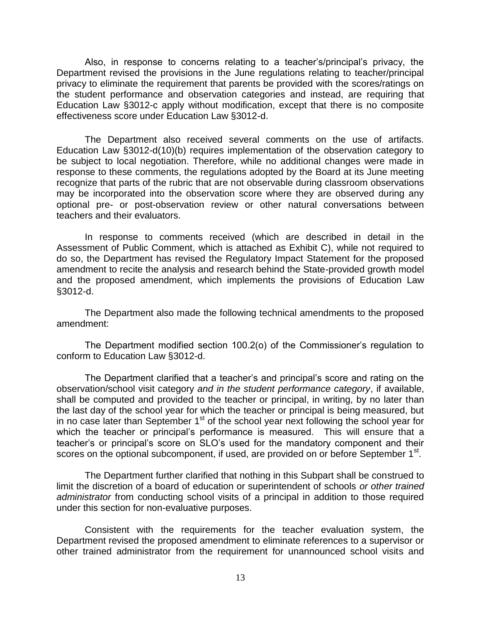Also, in response to concerns relating to a teacher's/principal's privacy, the Department revised the provisions in the June regulations relating to teacher/principal privacy to eliminate the requirement that parents be provided with the scores/ratings on the student performance and observation categories and instead, are requiring that Education Law §3012-c apply without modification, except that there is no composite effectiveness score under Education Law §3012-d.

The Department also received several comments on the use of artifacts. Education Law §3012-d(10)(b) requires implementation of the observation category to be subject to local negotiation. Therefore, while no additional changes were made in response to these comments, the regulations adopted by the Board at its June meeting recognize that parts of the rubric that are not observable during classroom observations may be incorporated into the observation score where they are observed during any optional pre- or post-observation review or other natural conversations between teachers and their evaluators.

In response to comments received (which are described in detail in the Assessment of Public Comment, which is attached as Exhibit C), while not required to do so, the Department has revised the Regulatory Impact Statement for the proposed amendment to recite the analysis and research behind the State-provided growth model and the proposed amendment, which implements the provisions of Education Law §3012-d.

The Department also made the following technical amendments to the proposed amendment:

The Department modified section 100.2(o) of the Commissioner's regulation to conform to Education Law §3012-d.

The Department clarified that a teacher's and principal's score and rating on the observation/school visit category *and in the student performance category*, if available, shall be computed and provided to the teacher or principal, in writing, by no later than the last day of the school year for which the teacher or principal is being measured, but in no case later than September 1<sup>st</sup> of the school year next following the school year for which the teacher or principal's performance is measured. This will ensure that a teacher's or principal's score on SLO's used for the mandatory component and their scores on the optional subcomponent, if used, are provided on or before September 1<sup>st</sup>.

The Department further clarified that nothing in this Subpart shall be construed to limit the discretion of a board of education or superintendent of schools *or other trained administrator* from conducting school visits of a principal in addition to those required under this section for non-evaluative purposes.

Consistent with the requirements for the teacher evaluation system, the Department revised the proposed amendment to eliminate references to a supervisor or other trained administrator from the requirement for unannounced school visits and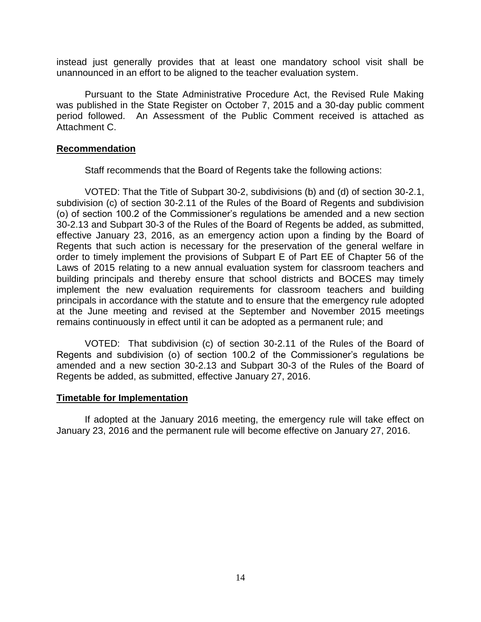instead just generally provides that at least one mandatory school visit shall be unannounced in an effort to be aligned to the teacher evaluation system.

Pursuant to the State Administrative Procedure Act, the Revised Rule Making was published in the State Register on October 7, 2015 and a 30-day public comment period followed. An Assessment of the Public Comment received is attached as Attachment C.

## **Recommendation**

Staff recommends that the Board of Regents take the following actions:

VOTED: That the Title of Subpart 30-2, subdivisions (b) and (d) of section 30-2.1, subdivision (c) of section 30-2.11 of the Rules of the Board of Regents and subdivision (o) of section 100.2 of the Commissioner's regulations be amended and a new section 30-2.13 and Subpart 30-3 of the Rules of the Board of Regents be added, as submitted, effective January 23, 2016, as an emergency action upon a finding by the Board of Regents that such action is necessary for the preservation of the general welfare in order to timely implement the provisions of Subpart E of Part EE of Chapter 56 of the Laws of 2015 relating to a new annual evaluation system for classroom teachers and building principals and thereby ensure that school districts and BOCES may timely implement the new evaluation requirements for classroom teachers and building principals in accordance with the statute and to ensure that the emergency rule adopted at the June meeting and revised at the September and November 2015 meetings remains continuously in effect until it can be adopted as a permanent rule; and

VOTED: That subdivision (c) of section 30-2.11 of the Rules of the Board of Regents and subdivision (o) of section 100.2 of the Commissioner's regulations be amended and a new section 30-2.13 and Subpart 30-3 of the Rules of the Board of Regents be added, as submitted, effective January 27, 2016.

## **Timetable for Implementation**

If adopted at the January 2016 meeting, the emergency rule will take effect on January 23, 2016 and the permanent rule will become effective on January 27, 2016.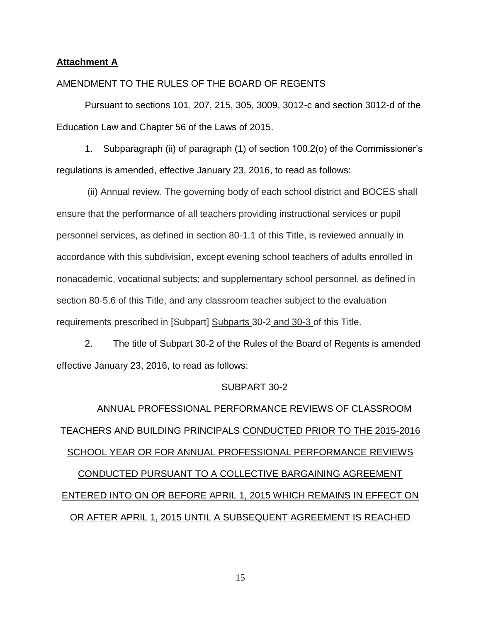#### **Attachment A**

#### AMENDMENT TO THE RULES OF THE BOARD OF REGENTS

Pursuant to sections 101, 207, 215, 305, 3009, 3012-c and section 3012-d of the Education Law and Chapter 56 of the Laws of 2015.

1. Subparagraph (ii) of paragraph (1) of section 100.2(o) of the Commissioner's regulations is amended, effective January 23, 2016, to read as follows:

(ii) Annual review. The governing body of each school district and BOCES shall ensure that the performance of all teachers providing instructional services or pupil personnel services, as defined in section 80-1.1 of this Title, is reviewed annually in accordance with this subdivision, except evening school teachers of adults enrolled in nonacademic, vocational subjects; and supplementary school personnel, as defined in section 80-5.6 of this Title, and any classroom teacher subject to the evaluation requirements prescribed in [Subpart] Subparts 30-2 and 30-3 of this Title.

2. The title of Subpart 30-2 of the Rules of the Board of Regents is amended effective January 23, 2016, to read as follows:

#### SUBPART 30-2

ANNUAL PROFESSIONAL PERFORMANCE REVIEWS OF CLASSROOM TEACHERS AND BUILDING PRINCIPALS CONDUCTED PRIOR TO THE 2015-2016 SCHOOL YEAR OR FOR ANNUAL PROFESSIONAL PERFORMANCE REVIEWS CONDUCTED PURSUANT TO A COLLECTIVE BARGAINING AGREEMENT ENTERED INTO ON OR BEFORE APRIL 1, 2015 WHICH REMAINS IN EFFECT ON OR AFTER APRIL 1, 2015 UNTIL A SUBSEQUENT AGREEMENT IS REACHED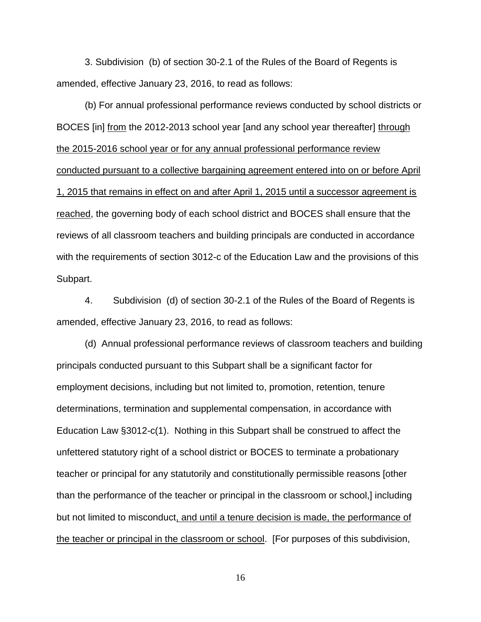3. Subdivision (b) of section 30-2.1 of the Rules of the Board of Regents is amended, effective January 23, 2016, to read as follows:

(b) For annual professional performance reviews conducted by school districts or BOCES [in] from the 2012-2013 school year [and any school year thereafter] through the 2015-2016 school year or for any annual professional performance review conducted pursuant to a collective bargaining agreement entered into on or before April 1, 2015 that remains in effect on and after April 1, 2015 until a successor agreement is reached, the governing body of each school district and BOCES shall ensure that the reviews of all classroom teachers and building principals are conducted in accordance with the requirements of section 3012-c of the Education Law and the provisions of this Subpart.

4. Subdivision (d) of section 30-2.1 of the Rules of the Board of Regents is amended, effective January 23, 2016, to read as follows:

(d) Annual professional performance reviews of classroom teachers and building principals conducted pursuant to this Subpart shall be a significant factor for employment decisions, including but not limited to, promotion, retention, tenure determinations, termination and supplemental compensation, in accordance with Education Law §3012-c(1). Nothing in this Subpart shall be construed to affect the unfettered statutory right of a school district or BOCES to terminate a probationary teacher or principal for any statutorily and constitutionally permissible reasons [other than the performance of the teacher or principal in the classroom or school,] including but not limited to misconduct, and until a tenure decision is made, the performance of the teacher or principal in the classroom or school. [For purposes of this subdivision,

16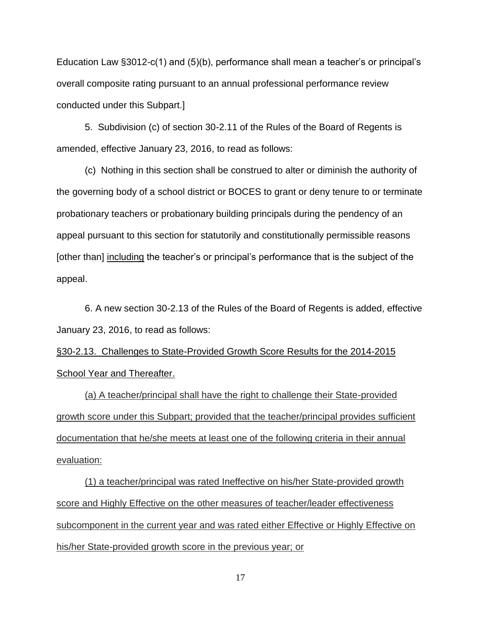Education Law §3012-c(1) and (5)(b), performance shall mean a teacher's or principal's overall composite rating pursuant to an annual professional performance review conducted under this Subpart.]

5. Subdivision (c) of section 30-2.11 of the Rules of the Board of Regents is amended, effective January 23, 2016, to read as follows:

(c) Nothing in this section shall be construed to alter or diminish the authority of the governing body of a school district or BOCES to grant or deny tenure to or terminate probationary teachers or probationary building principals during the pendency of an appeal pursuant to this section for statutorily and constitutionally permissible reasons [other than] including the teacher's or principal's performance that is the subject of the appeal.

6. A new section 30-2.13 of the Rules of the Board of Regents is added, effective January 23, 2016, to read as follows:

§30-2.13. Challenges to State-Provided Growth Score Results for the 2014-2015 School Year and Thereafter.

(a) A teacher/principal shall have the right to challenge their State-provided growth score under this Subpart; provided that the teacher/principal provides sufficient documentation that he/she meets at least one of the following criteria in their annual evaluation:

(1) a teacher/principal was rated Ineffective on his/her State-provided growth score and Highly Effective on the other measures of teacher/leader effectiveness subcomponent in the current year and was rated either Effective or Highly Effective on his/her State-provided growth score in the previous year; or

17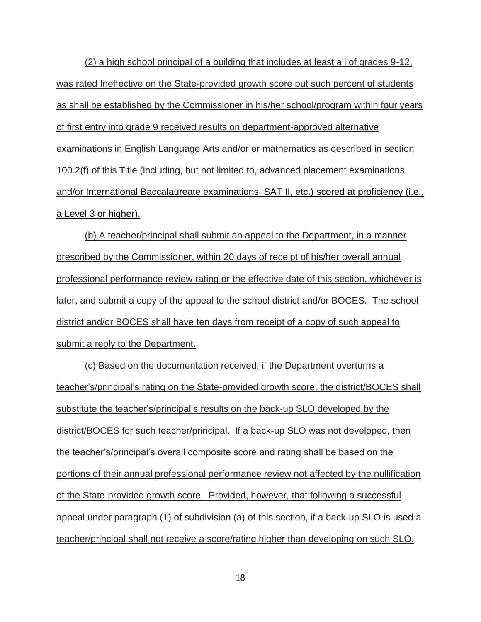(2) a high school principal of a building that includes at least all of grades 9-12, was rated Ineffective on the State-provided growth score but such percent of students as shall be established by the Commissioner in his/her school/program within four years of first entry into grade 9 received results on department-approved alternative examinations in English Language Arts and/or or mathematics as described in section 100.2(f) of this Title (including, but not limited to, advanced placement examinations, and/or International Baccalaureate examinations, SAT II, etc.) scored at proficiency (i.e., a Level 3 or higher).

(b) A teacher/principal shall submit an appeal to the Department, in a manner prescribed by the Commissioner, within 20 days of receipt of his/her overall annual professional performance review rating or the effective date of this section, whichever is later, and submit a copy of the appeal to the school district and/or BOCES. The school district and/or BOCES shall have ten days from receipt of a copy of such appeal to submit a reply to the Department.

(c) Based on the documentation received, if the Department overturns a teacher's/principal's rating on the State-provided growth score, the district/BOCES shall substitute the teacher's/principal's results on the back-up SLO developed by the district/BOCES for such teacher/principal. If a back-up SLO was not developed, then the teacher's/principal's overall composite score and rating shall be based on the portions of their annual professional performance review not affected by the nullification of the State-provided growth score. Provided, however, that following a successful appeal under paragraph (1) of subdivision (a) of this section, if a back-up SLO is used a teacher/principal shall not receive a score/rating higher than developing on such SLO.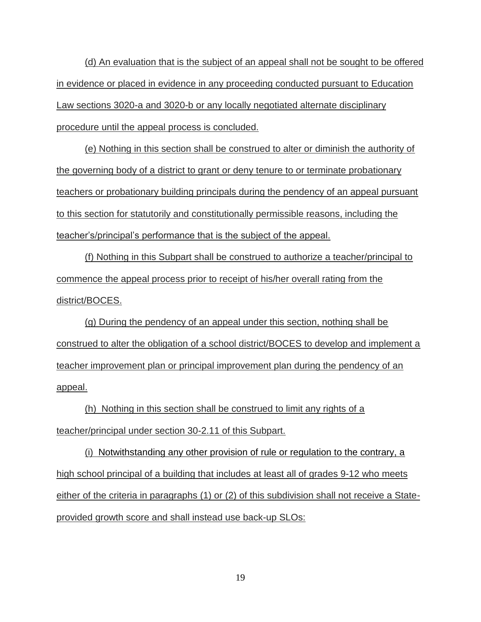(d) An evaluation that is the subject of an appeal shall not be sought to be offered in evidence or placed in evidence in any proceeding conducted pursuant to Education Law sections 3020-a and 3020-b or any locally negotiated alternate disciplinary procedure until the appeal process is concluded.

(e) Nothing in this section shall be construed to alter or diminish the authority of the governing body of a district to grant or deny tenure to or terminate probationary teachers or probationary building principals during the pendency of an appeal pursuant to this section for statutorily and constitutionally permissible reasons, including the teacher's/principal's performance that is the subject of the appeal.

(f) Nothing in this Subpart shall be construed to authorize a teacher/principal to commence the appeal process prior to receipt of his/her overall rating from the district/BOCES.

(g) During the pendency of an appeal under this section, nothing shall be construed to alter the obligation of a school district/BOCES to develop and implement a teacher improvement plan or principal improvement plan during the pendency of an appeal.

(h) Nothing in this section shall be construed to limit any rights of a teacher/principal under section 30-2.11 of this Subpart.

(i) Notwithstanding any other provision of rule or regulation to the contrary, a high school principal of a building that includes at least all of grades 9-12 who meets either of the criteria in paragraphs (1) or (2) of this subdivision shall not receive a Stateprovided growth score and shall instead use back-up SLOs:

19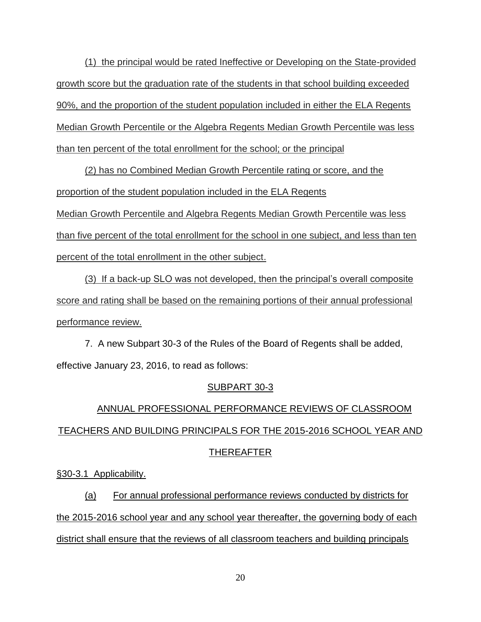(1) the principal would be rated Ineffective or Developing on the State-provided growth score but the graduation rate of the students in that school building exceeded 90%, and the proportion of the student population included in either the ELA Regents Median Growth Percentile or the Algebra Regents Median Growth Percentile was less than ten percent of the total enrollment for the school; or the principal

(2) has no Combined Median Growth Percentile rating or score, and the proportion of the student population included in the ELA Regents Median Growth Percentile and Algebra Regents Median Growth Percentile was less than five percent of the total enrollment for the school in one subject, and less than ten percent of the total enrollment in the other subject.

(3) If a back-up SLO was not developed, then the principal's overall composite score and rating shall be based on the remaining portions of their annual professional performance review.

7. A new Subpart 30-3 of the Rules of the Board of Regents shall be added, effective January 23, 2016, to read as follows:

# SUBPART 30-3

# ANNUAL PROFESSIONAL PERFORMANCE REVIEWS OF CLASSROOM TEACHERS AND BUILDING PRINCIPALS FOR THE 2015-2016 SCHOOL YEAR AND THEREAFTER

§30-3.1 Applicability.

(a) For annual professional performance reviews conducted by districts for the 2015-2016 school year and any school year thereafter, the governing body of each district shall ensure that the reviews of all classroom teachers and building principals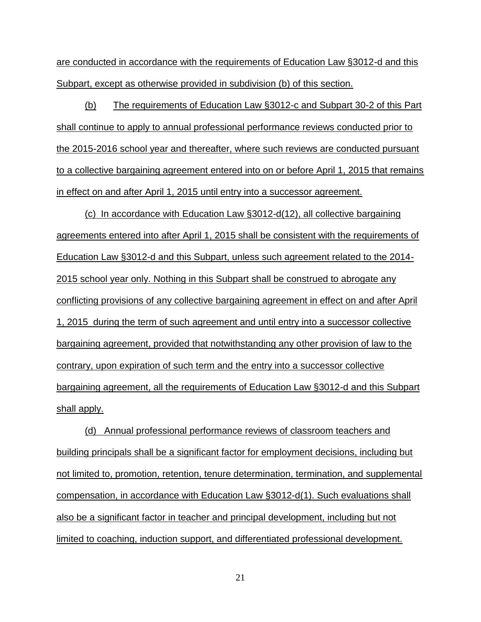are conducted in accordance with the requirements of Education Law §3012-d and this Subpart, except as otherwise provided in subdivision (b) of this section.

(b) The requirements of Education Law §3012-c and Subpart 30-2 of this Part shall continue to apply to annual professional performance reviews conducted prior to the 2015-2016 school year and thereafter, where such reviews are conducted pursuant to a collective bargaining agreement entered into on or before April 1, 2015 that remains in effect on and after April 1, 2015 until entry into a successor agreement.

(c) In accordance with Education Law §3012-d(12), all collective bargaining agreements entered into after April 1, 2015 shall be consistent with the requirements of Education Law §3012-d and this Subpart, unless such agreement related to the 2014- 2015 school year only. Nothing in this Subpart shall be construed to abrogate any conflicting provisions of any collective bargaining agreement in effect on and after April 1, 2015 during the term of such agreement and until entry into a successor collective bargaining agreement, provided that notwithstanding any other provision of law to the contrary, upon expiration of such term and the entry into a successor collective bargaining agreement, all the requirements of Education Law §3012-d and this Subpart shall apply.

(d) Annual professional performance reviews of classroom teachers and building principals shall be a significant factor for employment decisions, including but not limited to, promotion, retention, tenure determination, termination, and supplemental compensation, in accordance with Education Law §3012-d(1). Such evaluations shall also be a significant factor in teacher and principal development, including but not limited to coaching, induction support, and differentiated professional development.

21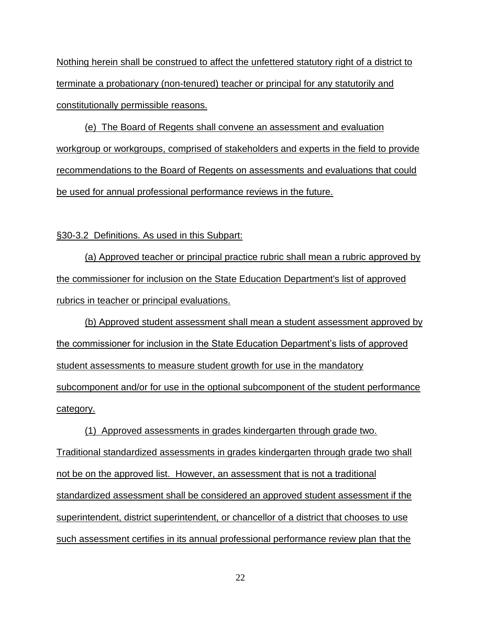Nothing herein shall be construed to affect the unfettered statutory right of a district to terminate a probationary (non-tenured) teacher or principal for any statutorily and constitutionally permissible reasons.

(e) The Board of Regents shall convene an assessment and evaluation workgroup or workgroups, comprised of stakeholders and experts in the field to provide recommendations to the Board of Regents on assessments and evaluations that could be used for annual professional performance reviews in the future.

## §30-3.2 Definitions. As used in this Subpart:

(a) Approved teacher or principal practice rubric shall mean a rubric approved by the commissioner for inclusion on the State Education Department's list of approved rubrics in teacher or principal evaluations.

(b) Approved student assessment shall mean a student assessment approved by the commissioner for inclusion in the State Education Department's lists of approved student assessments to measure student growth for use in the mandatory subcomponent and/or for use in the optional subcomponent of the student performance category.

(1) Approved assessments in grades kindergarten through grade two. Traditional standardized assessments in grades kindergarten through grade two shall not be on the approved list. However, an assessment that is not a traditional standardized assessment shall be considered an approved student assessment if the superintendent, district superintendent, or chancellor of a district that chooses to use such assessment certifies in its annual professional performance review plan that the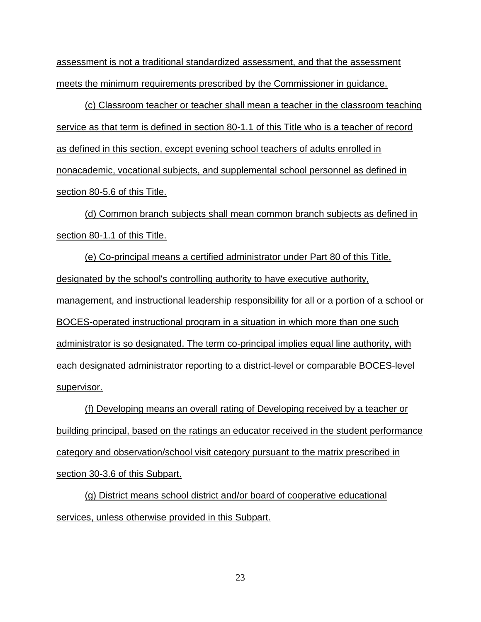assessment is not a traditional standardized assessment, and that the assessment meets the minimum requirements prescribed by the Commissioner in guidance.

(c) Classroom teacher or teacher shall mean a teacher in the classroom teaching service as that term is defined in section 80-1.1 of this Title who is a teacher of record as defined in this section, except evening school teachers of adults enrolled in nonacademic, vocational subjects, and supplemental school personnel as defined in section 80-5.6 of this Title.

(d) Common branch subjects shall mean common branch subjects as defined in section 80-1.1 of this Title.

(e) Co-principal means a certified administrator under Part 80 of this Title, designated by the school's controlling authority to have executive authority, management, and instructional leadership responsibility for all or a portion of a school or BOCES-operated instructional program in a situation in which more than one such administrator is so designated. The term co-principal implies equal line authority, with each designated administrator reporting to a district-level or comparable BOCES-level supervisor.

(f) Developing means an overall rating of Developing received by a teacher or building principal, based on the ratings an educator received in the student performance category and observation/school visit category pursuant to the matrix prescribed in section 30-3.6 of this Subpart.

(g) District means school district and/or board of cooperative educational services, unless otherwise provided in this Subpart.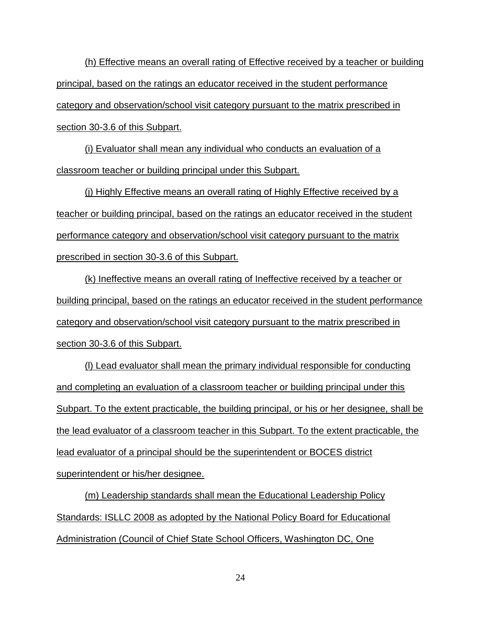(h) Effective means an overall rating of Effective received by a teacher or building principal, based on the ratings an educator received in the student performance category and observation/school visit category pursuant to the matrix prescribed in section 30-3.6 of this Subpart.

(i) Evaluator shall mean any individual who conducts an evaluation of a classroom teacher or building principal under this Subpart.

(j) Highly Effective means an overall rating of Highly Effective received by a teacher or building principal, based on the ratings an educator received in the student performance category and observation/school visit category pursuant to the matrix prescribed in section 30-3.6 of this Subpart.

(k) Ineffective means an overall rating of Ineffective received by a teacher or building principal, based on the ratings an educator received in the student performance category and observation/school visit category pursuant to the matrix prescribed in section 30-3.6 of this Subpart.

(l) Lead evaluator shall mean the primary individual responsible for conducting and completing an evaluation of a classroom teacher or building principal under this Subpart. To the extent practicable, the building principal, or his or her designee, shall be the lead evaluator of a classroom teacher in this Subpart. To the extent practicable, the lead evaluator of a principal should be the superintendent or BOCES district superintendent or his/her designee.

(m) Leadership standards shall mean the Educational Leadership Policy Standards: ISLLC 2008 as adopted by the National Policy Board for Educational Administration (Council of Chief State School Officers, Washington DC, One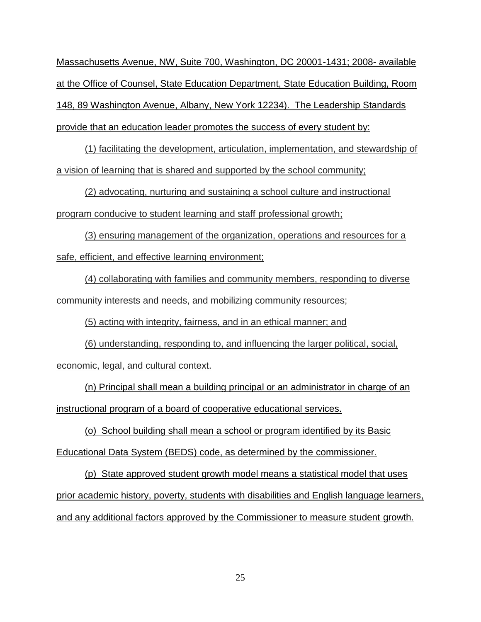Massachusetts Avenue, NW, Suite 700, Washington, DC 20001-1431; 2008- available at the Office of Counsel, State Education Department, State Education Building, Room 148, 89 Washington Avenue, Albany, New York 12234). The Leadership Standards provide that an education leader promotes the success of every student by:

(1) facilitating the development, articulation, implementation, and stewardship of a vision of learning that is shared and supported by the school community;

(2) advocating, nurturing and sustaining a school culture and instructional program conducive to student learning and staff professional growth;

(3) ensuring management of the organization, operations and resources for a safe, efficient, and effective learning environment;

(4) collaborating with families and community members, responding to diverse community interests and needs, and mobilizing community resources;

(5) acting with integrity, fairness, and in an ethical manner; and

(6) understanding, responding to, and influencing the larger political, social, economic, legal, and cultural context.

(n) Principal shall mean a building principal or an administrator in charge of an instructional program of a board of cooperative educational services.

(o) School building shall mean a school or program identified by its Basic Educational Data System (BEDS) code, as determined by the commissioner.

(p) State approved student growth model means a statistical model that uses prior academic history, poverty, students with disabilities and English language learners, and any additional factors approved by the Commissioner to measure student growth.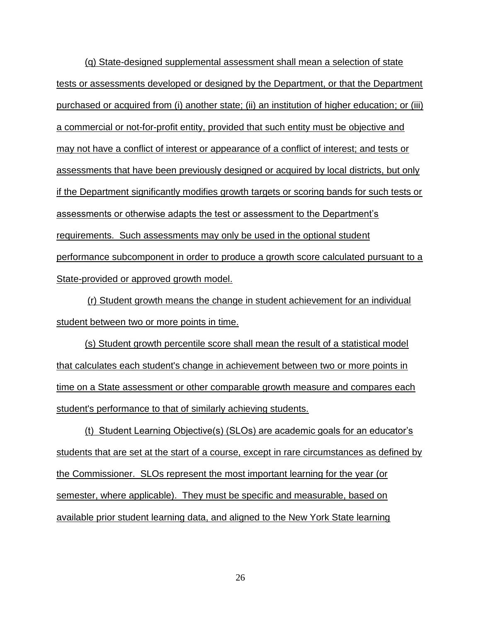(q) State-designed supplemental assessment shall mean a selection of state tests or assessments developed or designed by the Department, or that the Department purchased or acquired from (i) another state; (ii) an institution of higher education; or (iii) a commercial or not-for-profit entity, provided that such entity must be objective and may not have a conflict of interest or appearance of a conflict of interest; and tests or assessments that have been previously designed or acquired by local districts, but only if the Department significantly modifies growth targets or scoring bands for such tests or assessments or otherwise adapts the test or assessment to the Department's requirements. Such assessments may only be used in the optional student performance subcomponent in order to produce a growth score calculated pursuant to a State-provided or approved growth model.

(r) Student growth means the change in student achievement for an individual student between two or more points in time.

(s) Student growth percentile score shall mean the result of a statistical model that calculates each student's change in achievement between two or more points in time on a State assessment or other comparable growth measure and compares each student's performance to that of similarly achieving students.

(t) Student Learning Objective(s) (SLOs) are academic goals for an educator's students that are set at the start of a course, except in rare circumstances as defined by the Commissioner. SLOs represent the most important learning for the year (or semester, where applicable). They must be specific and measurable, based on available prior student learning data, and aligned to the New York State learning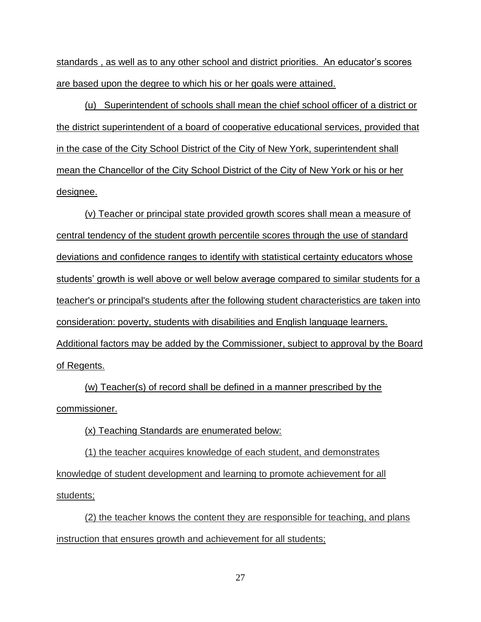standards , as well as to any other school and district priorities. An educator's scores are based upon the degree to which his or her goals were attained.

(u) Superintendent of schools shall mean the chief school officer of a district or the district superintendent of a board of cooperative educational services, provided that in the case of the City School District of the City of New York, superintendent shall mean the Chancellor of the City School District of the City of New York or his or her designee.

(v) Teacher or principal state provided growth scores shall mean a measure of central tendency of the student growth percentile scores through the use of standard deviations and confidence ranges to identify with statistical certainty educators whose students' growth is well above or well below average compared to similar students for a teacher's or principal's students after the following student characteristics are taken into consideration: poverty, students with disabilities and English language learners. Additional factors may be added by the Commissioner, subject to approval by the Board of Regents.

(w) Teacher(s) of record shall be defined in a manner prescribed by the commissioner.

(x) Teaching Standards are enumerated below:

(1) the teacher acquires knowledge of each student, and demonstrates knowledge of student development and learning to promote achievement for all students;

(2) the teacher knows the content they are responsible for teaching, and plans instruction that ensures growth and achievement for all students;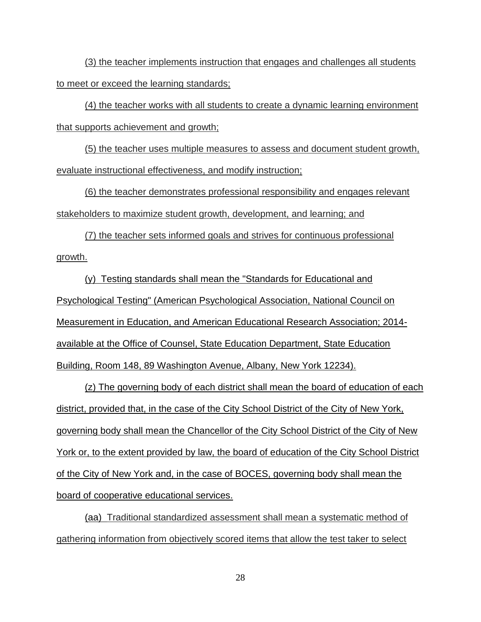(3) the teacher implements instruction that engages and challenges all students to meet or exceed the learning standards;

(4) the teacher works with all students to create a dynamic learning environment that supports achievement and growth;

(5) the teacher uses multiple measures to assess and document student growth, evaluate instructional effectiveness, and modify instruction;

(6) the teacher demonstrates professional responsibility and engages relevant stakeholders to maximize student growth, development, and learning; and

(7) the teacher sets informed goals and strives for continuous professional growth.

(y) Testing standards shall mean the "Standards for Educational and Psychological Testing" (American Psychological Association, National Council on Measurement in Education, and American Educational Research Association; 2014 available at the Office of Counsel, State Education Department, State Education Building, Room 148, 89 Washington Avenue, Albany, New York 12234).

(z) The governing body of each district shall mean the board of education of each district, provided that, in the case of the City School District of the City of New York, governing body shall mean the Chancellor of the City School District of the City of New York or, to the extent provided by law, the board of education of the City School District of the City of New York and, in the case of BOCES, governing body shall mean the board of cooperative educational services.

(aa) Traditional standardized assessment shall mean a systematic method of gathering information from objectively scored items that allow the test taker to select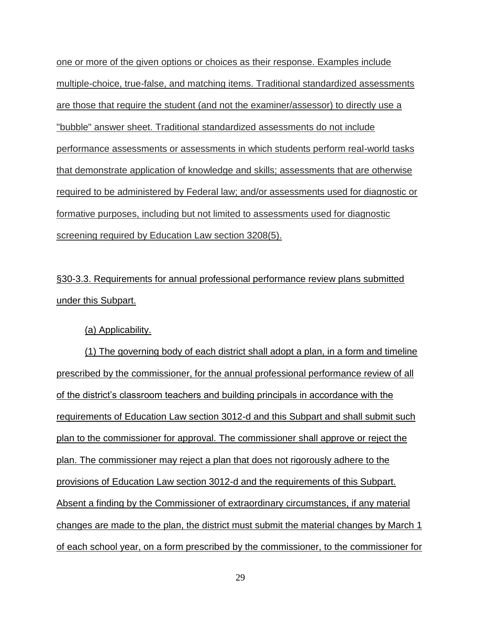one or more of the given options or choices as their response. Examples include multiple-choice, true-false, and matching items. Traditional standardized assessments are those that require the student (and not the examiner/assessor) to directly use a "bubble" answer sheet. Traditional standardized assessments do not include performance assessments or assessments in which students perform real-world tasks that demonstrate application of knowledge and skills; assessments that are otherwise required to be administered by Federal law; and/or assessments used for diagnostic or formative purposes, including but not limited to assessments used for diagnostic screening required by Education Law section 3208(5).

§30-3.3. Requirements for annual professional performance review plans submitted under this Subpart.

# (a) Applicability.

(1) The governing body of each district shall adopt a plan, in a form and timeline prescribed by the commissioner, for the annual professional performance review of all of the district's classroom teachers and building principals in accordance with the requirements of Education Law section 3012-d and this Subpart and shall submit such plan to the commissioner for approval. The commissioner shall approve or reject the plan. The commissioner may reject a plan that does not rigorously adhere to the provisions of Education Law section 3012-d and the requirements of this Subpart. Absent a finding by the Commissioner of extraordinary circumstances, if any material changes are made to the plan, the district must submit the material changes by March 1 of each school year, on a form prescribed by the commissioner, to the commissioner for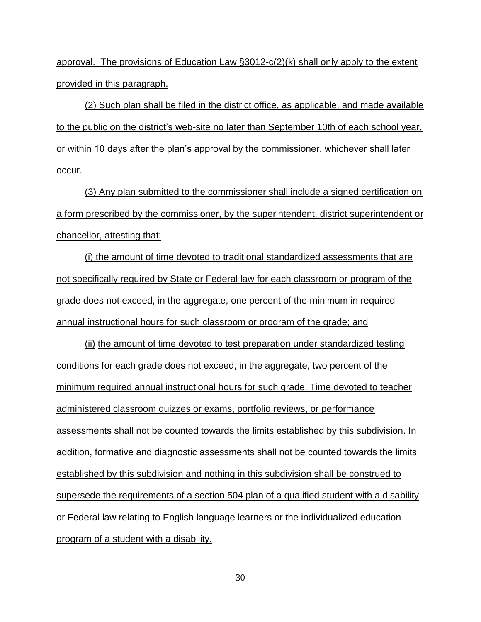approval. The provisions of Education Law §3012-c(2)(k) shall only apply to the extent provided in this paragraph.

(2) Such plan shall be filed in the district office, as applicable, and made available to the public on the district's web-site no later than September 10th of each school year, or within 10 days after the plan's approval by the commissioner, whichever shall later occur.

(3) Any plan submitted to the commissioner shall include a signed certification on a form prescribed by the commissioner, by the superintendent, district superintendent or chancellor, attesting that:

(i) the amount of time devoted to traditional standardized assessments that are not specifically required by State or Federal law for each classroom or program of the grade does not exceed, in the aggregate, one percent of the minimum in required annual instructional hours for such classroom or program of the grade; and

(ii) the amount of time devoted to test preparation under standardized testing conditions for each grade does not exceed, in the aggregate, two percent of the minimum required annual instructional hours for such grade. Time devoted to teacher administered classroom quizzes or exams, portfolio reviews, or performance assessments shall not be counted towards the limits established by this subdivision. In addition, formative and diagnostic assessments shall not be counted towards the limits established by this subdivision and nothing in this subdivision shall be construed to supersede the requirements of a section 504 plan of a qualified student with a disability or Federal law relating to English language learners or the individualized education program of a student with a disability.

30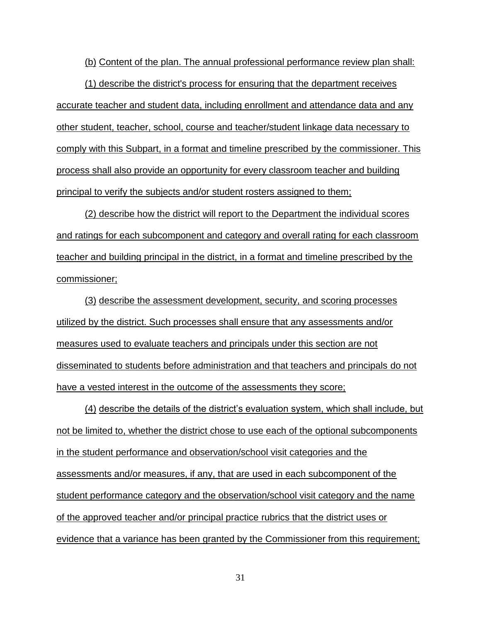(b) Content of the plan. The annual professional performance review plan shall:

(1) describe the district's process for ensuring that the department receives accurate teacher and student data, including enrollment and attendance data and any other student, teacher, school, course and teacher/student linkage data necessary to comply with this Subpart, in a format and timeline prescribed by the commissioner. This process shall also provide an opportunity for every classroom teacher and building principal to verify the subjects and/or student rosters assigned to them;

(2) describe how the district will report to the Department the individual scores and ratings for each subcomponent and category and overall rating for each classroom teacher and building principal in the district, in a format and timeline prescribed by the commissioner;

(3) describe the assessment development, security, and scoring processes utilized by the district. Such processes shall ensure that any assessments and/or measures used to evaluate teachers and principals under this section are not disseminated to students before administration and that teachers and principals do not have a vested interest in the outcome of the assessments they score;

(4) describe the details of the district's evaluation system, which shall include, but not be limited to, whether the district chose to use each of the optional subcomponents in the student performance and observation/school visit categories and the assessments and/or measures, if any, that are used in each subcomponent of the student performance category and the observation/school visit category and the name of the approved teacher and/or principal practice rubrics that the district uses or evidence that a variance has been granted by the Commissioner from this requirement;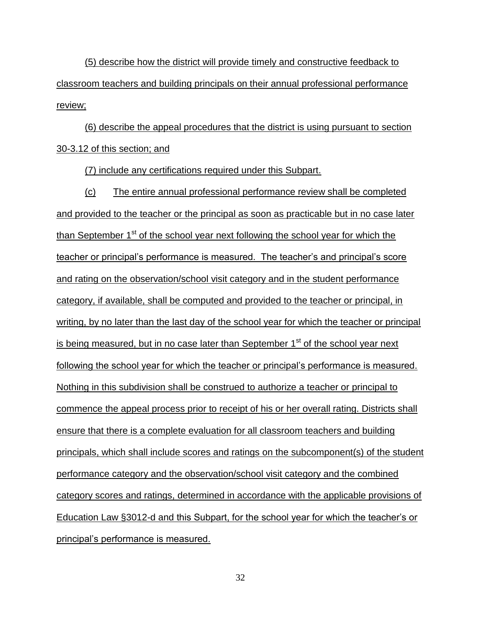(5) describe how the district will provide timely and constructive feedback to classroom teachers and building principals on their annual professional performance review;

(6) describe the appeal procedures that the district is using pursuant to section 30-3.12 of this section; and

(7) include any certifications required under this Subpart.

(c) The entire annual professional performance review shall be completed and provided to the teacher or the principal as soon as practicable but in no case later than September  $1<sup>st</sup>$  of the school year next following the school year for which the teacher or principal's performance is measured. The teacher's and principal's score and rating on the observation/school visit category and in the student performance category, if available, shall be computed and provided to the teacher or principal, in writing, by no later than the last day of the school year for which the teacher or principal is being measured, but in no case later than September  $1<sup>st</sup>$  of the school year next following the school year for which the teacher or principal's performance is measured. Nothing in this subdivision shall be construed to authorize a teacher or principal to commence the appeal process prior to receipt of his or her overall rating. Districts shall ensure that there is a complete evaluation for all classroom teachers and building principals, which shall include scores and ratings on the subcomponent(s) of the student performance category and the observation/school visit category and the combined category scores and ratings, determined in accordance with the applicable provisions of Education Law §3012-d and this Subpart, for the school year for which the teacher's or principal's performance is measured.

32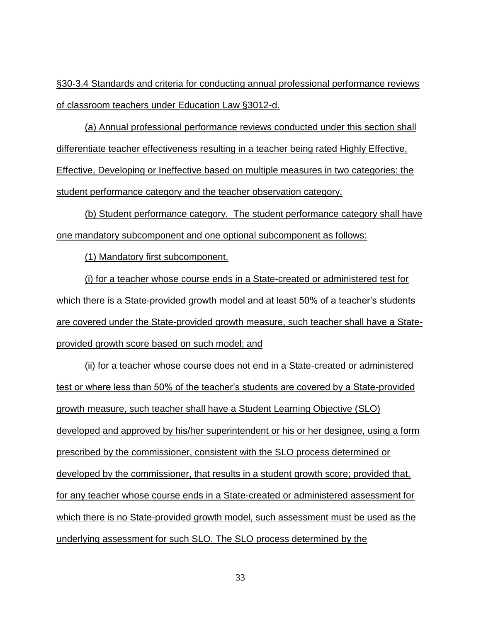§30-3.4 Standards and criteria for conducting annual professional performance reviews of classroom teachers under Education Law §3012-d.

(a) Annual professional performance reviews conducted under this section shall differentiate teacher effectiveness resulting in a teacher being rated Highly Effective, Effective, Developing or Ineffective based on multiple measures in two categories: the student performance category and the teacher observation category.

(b) Student performance category. The student performance category shall have one mandatory subcomponent and one optional subcomponent as follows:

(1) Mandatory first subcomponent.

(i) for a teacher whose course ends in a State-created or administered test for which there is a State-provided growth model and at least 50% of a teacher's students are covered under the State-provided growth measure, such teacher shall have a Stateprovided growth score based on such model; and

(ii) for a teacher whose course does not end in a State-created or administered test or where less than 50% of the teacher's students are covered by a State-provided growth measure, such teacher shall have a Student Learning Objective (SLO) developed and approved by his/her superintendent or his or her designee, using a form prescribed by the commissioner, consistent with the SLO process determined or developed by the commissioner, that results in a student growth score; provided that, for any teacher whose course ends in a State-created or administered assessment for which there is no State-provided growth model, such assessment must be used as the underlying assessment for such SLO. The SLO process determined by the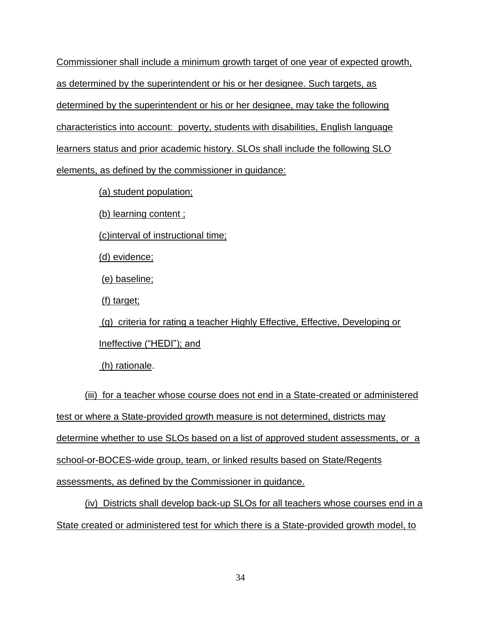Commissioner shall include a minimum growth target of one year of expected growth, as determined by the superintendent or his or her designee. Such targets, as determined by the superintendent or his or her designee, may take the following characteristics into account: poverty, students with disabilities, English language learners status and prior academic history. SLOs shall include the following SLO elements, as defined by the commissioner in guidance:

(a) student population;

(b) learning content ;

(c)interval of instructional time;

(d) evidence;

(e) baseline;

(f) target;

(g) criteria for rating a teacher Highly Effective, Effective, Developing or Ineffective ("HEDI"); and

(h) rationale.

(iii) for a teacher whose course does not end in a State-created or administered test or where a State-provided growth measure is not determined, districts may determine whether to use SLOs based on a list of approved student assessments, or a school-or-BOCES-wide group, team, or linked results based on State/Regents assessments, as defined by the Commissioner in guidance.

(iv) Districts shall develop back-up SLOs for all teachers whose courses end in a State created or administered test for which there is a State-provided growth model, to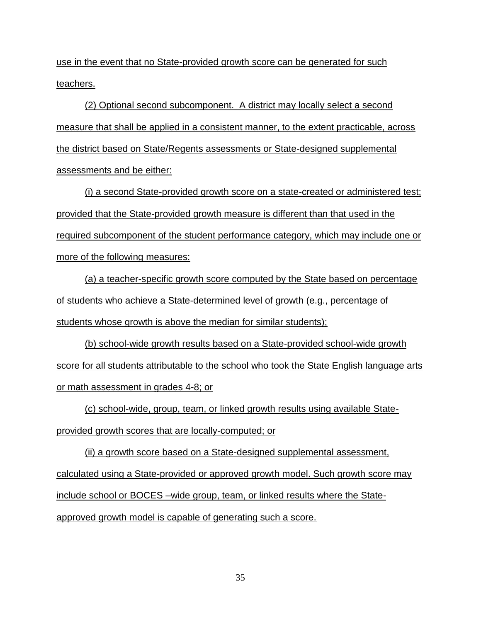use in the event that no State-provided growth score can be generated for such teachers.

(2) Optional second subcomponent. A district may locally select a second measure that shall be applied in a consistent manner, to the extent practicable, across the district based on State/Regents assessments or State-designed supplemental assessments and be either:

(i) a second State-provided growth score on a state-created or administered test; provided that the State-provided growth measure is different than that used in the required subcomponent of the student performance category, which may include one or more of the following measures:

(a) a teacher-specific growth score computed by the State based on percentage of students who achieve a State-determined level of growth (e.g., percentage of students whose growth is above the median for similar students);

(b) school-wide growth results based on a State-provided school-wide growth score for all students attributable to the school who took the State English language arts or math assessment in grades 4-8; or

(c) school-wide, group, team, or linked growth results using available Stateprovided growth scores that are locally-computed; or

(ii) a growth score based on a State-designed supplemental assessment, calculated using a State-provided or approved growth model. Such growth score may include school or BOCES –wide group, team, or linked results where the Stateapproved growth model is capable of generating such a score.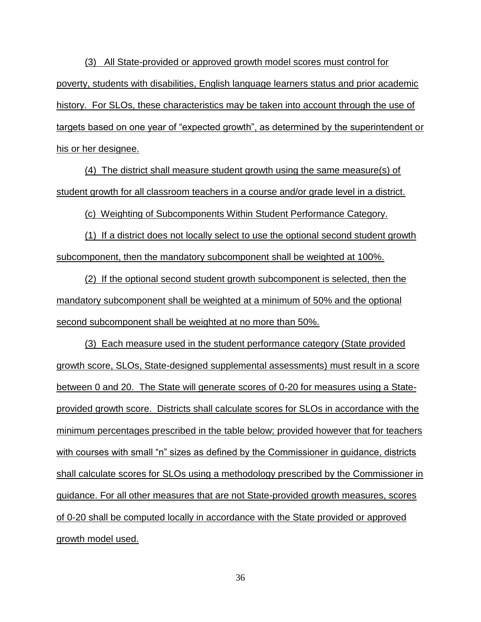(3) All State-provided or approved growth model scores must control for poverty, students with disabilities, English language learners status and prior academic history. For SLOs, these characteristics may be taken into account through the use of targets based on one year of "expected growth", as determined by the superintendent or his or her designee.

(4) The district shall measure student growth using the same measure(s) of student growth for all classroom teachers in a course and/or grade level in a district.

(c) Weighting of Subcomponents Within Student Performance Category.

(1) If a district does not locally select to use the optional second student growth subcomponent, then the mandatory subcomponent shall be weighted at 100%.

(2) If the optional second student growth subcomponent is selected, then the mandatory subcomponent shall be weighted at a minimum of 50% and the optional second subcomponent shall be weighted at no more than 50%.

(3) Each measure used in the student performance category (State provided growth score, SLOs, State-designed supplemental assessments) must result in a score between 0 and 20. The State will generate scores of 0-20 for measures using a Stateprovided growth score. Districts shall calculate scores for SLOs in accordance with the minimum percentages prescribed in the table below; provided however that for teachers with courses with small "n" sizes as defined by the Commissioner in guidance, districts shall calculate scores for SLOs using a methodology prescribed by the Commissioner in guidance. For all other measures that are not State-provided growth measures, scores of 0-20 shall be computed locally in accordance with the State provided or approved growth model used.

36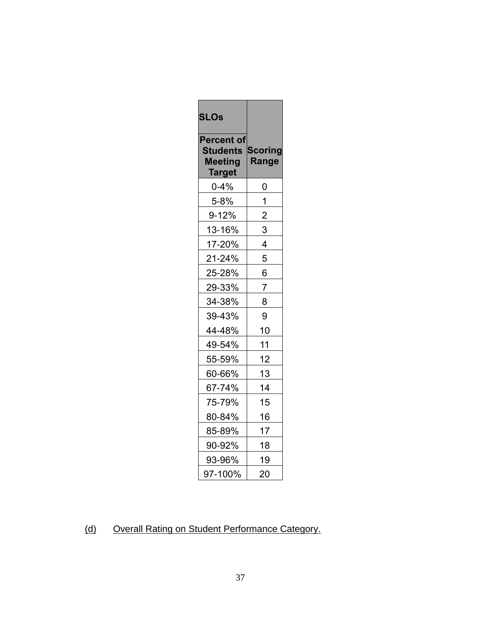| <b>SLOs</b>                                                      |                                |  |
|------------------------------------------------------------------|--------------------------------|--|
| <b>Percent of</b><br><b>Students</b><br><b>Meeting</b><br>Target | <b>Scoring</b><br><b>Range</b> |  |
| $0 - 4%$                                                         | 0                              |  |
| 5-8%                                                             | 1                              |  |
| 9-12%                                                            | $\overline{\mathbf{c}}$        |  |
| 13-16%                                                           | 3                              |  |
| 17-20%                                                           | 4                              |  |
| 21-24%                                                           | 5                              |  |
| 25-28%                                                           | 6                              |  |
| 29-33%                                                           | $\overline{7}$                 |  |
| 34-38%                                                           | 8                              |  |
| 39-43%                                                           | 9                              |  |
| 44-48%                                                           | 10                             |  |
| 49-54%                                                           | 11                             |  |
| 55-59%                                                           | 12                             |  |
| 60-66%                                                           | 13                             |  |
| 67-74%                                                           | 14                             |  |
| 75-79%                                                           | 15                             |  |
| 80-84%                                                           | 16                             |  |
| 85-89%                                                           | 17                             |  |
| 90-92%                                                           | 18                             |  |
| 93-96%                                                           | 19                             |  |
| 97-100%                                                          | 20                             |  |

## (d) Overall Rating on Student Performance Category.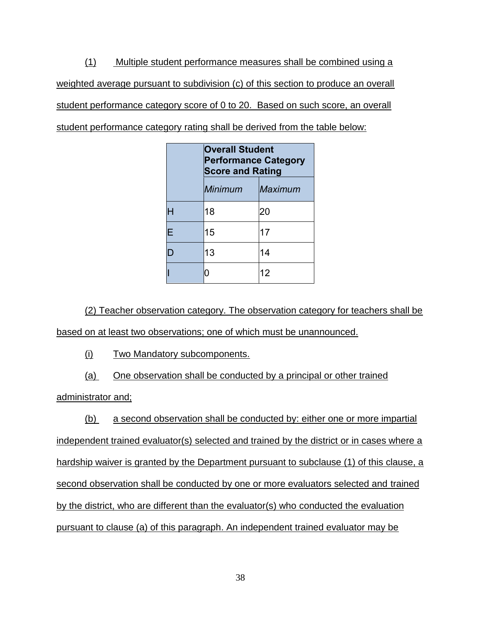(1) Multiple student performance measures shall be combined using a weighted average pursuant to subdivision (c) of this section to produce an overall student performance category score of 0 to 20. Based on such score, an overall student performance category rating shall be derived from the table below:

|   | <b>Overall Student</b><br><b>Performance Category</b><br><b>Score and Rating</b> |         |  |
|---|----------------------------------------------------------------------------------|---------|--|
|   | <b>Minimum</b>                                                                   | Maximum |  |
|   | 18                                                                               | 20      |  |
| E | 15                                                                               | 17      |  |
| L | 13                                                                               | 14      |  |
|   | Π                                                                                | 12      |  |

(2) Teacher observation category. The observation category for teachers shall be

based on at least two observations; one of which must be unannounced.

(i) Two Mandatory subcomponents.

(a) One observation shall be conducted by a principal or other trained

administrator and;

(b) a second observation shall be conducted by: either one or more impartial independent trained evaluator(s) selected and trained by the district or in cases where a hardship waiver is granted by the Department pursuant to subclause (1) of this clause, a second observation shall be conducted by one or more evaluators selected and trained by the district, who are different than the evaluator(s) who conducted the evaluation pursuant to clause (a) of this paragraph. An independent trained evaluator may be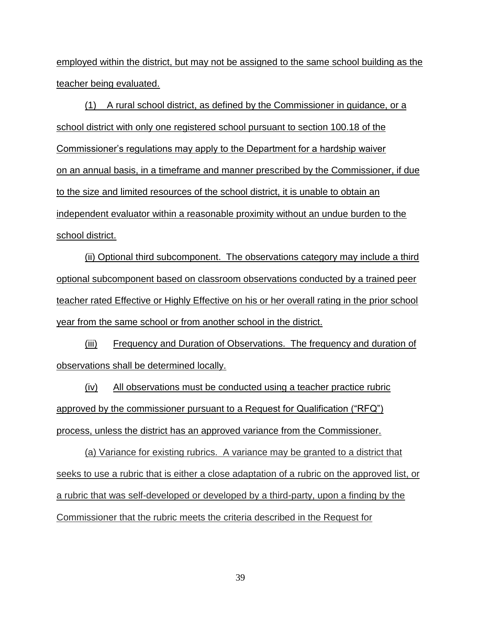employed within the district, but may not be assigned to the same school building as the teacher being evaluated.

(1) A rural school district, as defined by the Commissioner in guidance, or a school district with only one registered school pursuant to section 100.18 of the Commissioner's regulations may apply to the Department for a hardship waiver on an annual basis, in a timeframe and manner prescribed by the Commissioner, if due to the size and limited resources of the school district, it is unable to obtain an independent evaluator within a reasonable proximity without an undue burden to the school district.

(ii) Optional third subcomponent. The observations category may include a third optional subcomponent based on classroom observations conducted by a trained peer teacher rated Effective or Highly Effective on his or her overall rating in the prior school year from the same school or from another school in the district.

(iii) Frequency and Duration of Observations. The frequency and duration of observations shall be determined locally.

(iv) All observations must be conducted using a teacher practice rubric approved by the commissioner pursuant to a Request for Qualification ("RFQ") process, unless the district has an approved variance from the Commissioner.

(a) Variance for existing rubrics. A variance may be granted to a district that seeks to use a rubric that is either a close adaptation of a rubric on the approved list, or a rubric that was self-developed or developed by a third-party, upon a finding by the Commissioner that the rubric meets the criteria described in the Request for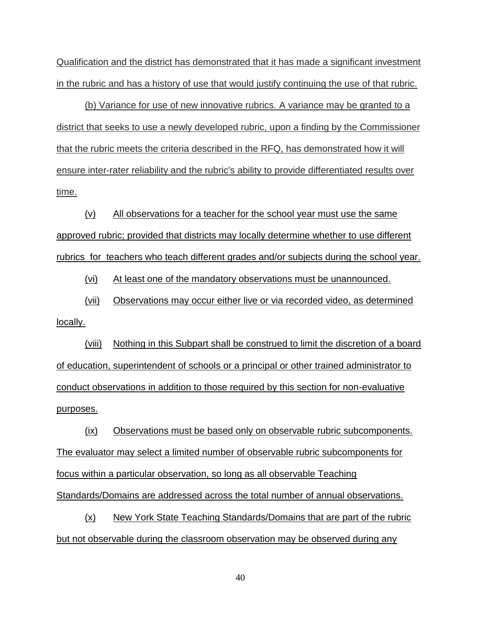Qualification and the district has demonstrated that it has made a significant investment in the rubric and has a history of use that would justify continuing the use of that rubric.

(b) Variance for use of new innovative rubrics. A variance may be granted to a district that seeks to use a newly developed rubric, upon a finding by the Commissioner that the rubric meets the criteria described in the RFQ, has demonstrated how it will ensure inter-rater reliability and the rubric's ability to provide differentiated results over time.

(v) All observations for a teacher for the school year must use the same approved rubric; provided that districts may locally determine whether to use different rubrics for teachers who teach different grades and/or subjects during the school year.

(vi) At least one of the mandatory observations must be unannounced.

(vii) Observations may occur either live or via recorded video, as determined locally.

(viii) Nothing in this Subpart shall be construed to limit the discretion of a board of education, superintendent of schools or a principal or other trained administrator to conduct observations in addition to those required by this section for non-evaluative purposes.

(ix) Observations must be based only on observable rubric subcomponents. The evaluator may select a limited number of observable rubric subcomponents for focus within a particular observation, so long as all observable Teaching Standards/Domains are addressed across the total number of annual observations.

(x) New York State Teaching Standards/Domains that are part of the rubric but not observable during the classroom observation may be observed during any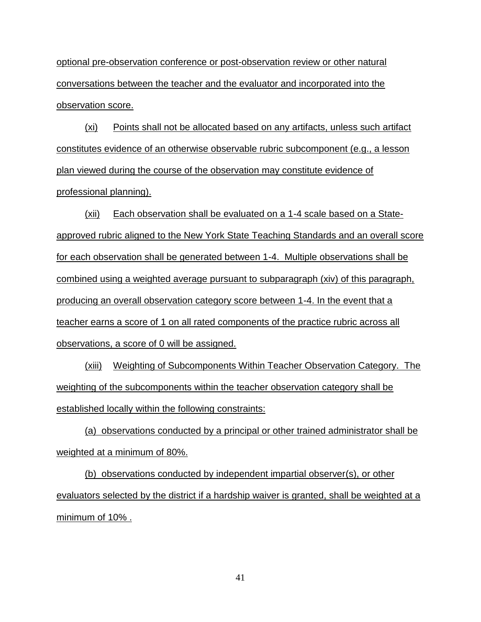optional pre-observation conference or post-observation review or other natural conversations between the teacher and the evaluator and incorporated into the observation score.

(xi) Points shall not be allocated based on any artifacts, unless such artifact constitutes evidence of an otherwise observable rubric subcomponent (e.g., a lesson plan viewed during the course of the observation may constitute evidence of professional planning).

(xii) Each observation shall be evaluated on a 1-4 scale based on a Stateapproved rubric aligned to the New York State Teaching Standards and an overall score for each observation shall be generated between 1-4. Multiple observations shall be combined using a weighted average pursuant to subparagraph (xiv) of this paragraph, producing an overall observation category score between 1-4. In the event that a teacher earns a score of 1 on all rated components of the practice rubric across all observations, a score of 0 will be assigned.

(xiii) Weighting of Subcomponents Within Teacher Observation Category. The weighting of the subcomponents within the teacher observation category shall be established locally within the following constraints:

(a) observations conducted by a principal or other trained administrator shall be weighted at a minimum of 80%.

(b) observations conducted by independent impartial observer(s), or other evaluators selected by the district if a hardship waiver is granted, shall be weighted at a minimum of 10% .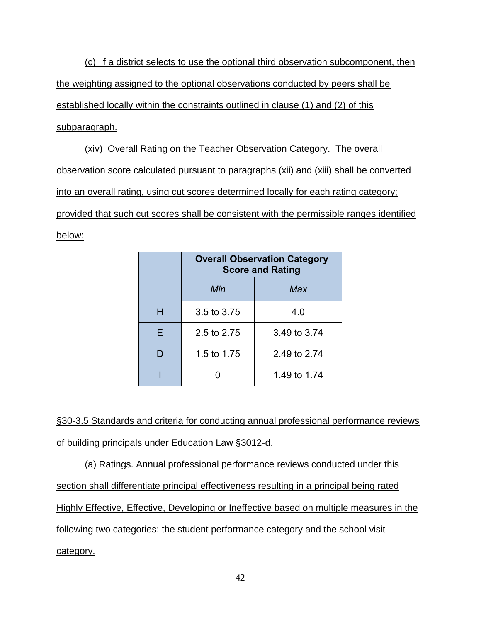(c) if a district selects to use the optional third observation subcomponent, then the weighting assigned to the optional observations conducted by peers shall be established locally within the constraints outlined in clause (1) and (2) of this subparagraph.

(xiv) Overall Rating on the Teacher Observation Category. The overall observation score calculated pursuant to paragraphs (xii) and (xiii) shall be converted into an overall rating, using cut scores determined locally for each rating category; provided that such cut scores shall be consistent with the permissible ranges identified below:

|   | <b>Overall Observation Category</b><br><b>Score and Rating</b> |              |  |
|---|----------------------------------------------------------------|--------------|--|
|   | Min                                                            | Max          |  |
| н | 3.5 to 3.75                                                    | 4.0          |  |
| F | 2.5 to 2.75                                                    | 3.49 to 3.74 |  |
|   | 1.5 to 1.75                                                    | 2.49 to 2.74 |  |
|   |                                                                | 1.49 to 1.74 |  |

§30-3.5 Standards and criteria for conducting annual professional performance reviews of building principals under Education Law §3012-d.

(a) Ratings. Annual professional performance reviews conducted under this section shall differentiate principal effectiveness resulting in a principal being rated Highly Effective, Effective, Developing or Ineffective based on multiple measures in the following two categories: the student performance category and the school visit category.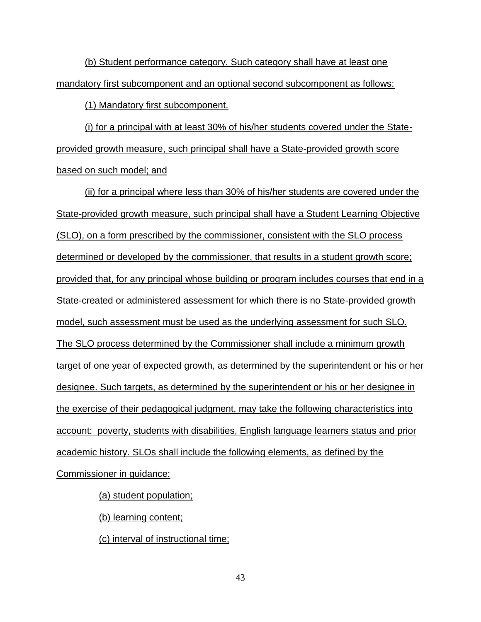(b) Student performance category. Such category shall have at least one mandatory first subcomponent and an optional second subcomponent as follows:

(1) Mandatory first subcomponent.

(i) for a principal with at least 30% of his/her students covered under the Stateprovided growth measure, such principal shall have a State-provided growth score based on such model; and

(ii) for a principal where less than 30% of his/her students are covered under the State-provided growth measure, such principal shall have a Student Learning Objective (SLO), on a form prescribed by the commissioner, consistent with the SLO process determined or developed by the commissioner, that results in a student growth score; provided that, for any principal whose building or program includes courses that end in a State-created or administered assessment for which there is no State-provided growth model, such assessment must be used as the underlying assessment for such SLO. The SLO process determined by the Commissioner shall include a minimum growth target of one year of expected growth, as determined by the superintendent or his or her designee. Such targets, as determined by the superintendent or his or her designee in the exercise of their pedagogical judgment, may take the following characteristics into account: poverty, students with disabilities, English language learners status and prior academic history. SLOs shall include the following elements, as defined by the Commissioner in guidance:

(a) student population;

(b) learning content;

(c) interval of instructional time;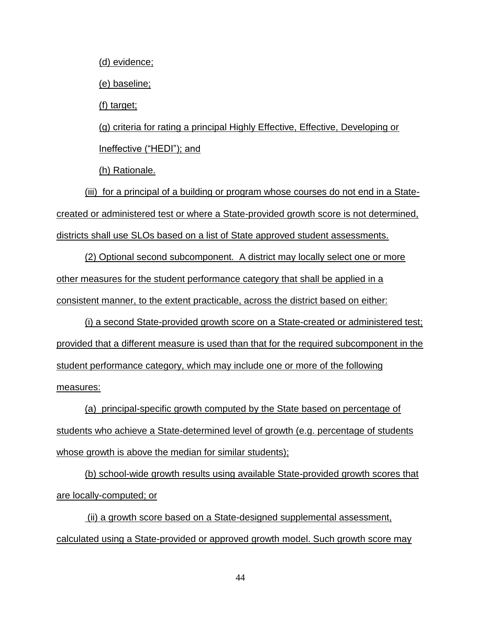(d) evidence;

(e) baseline;

(f) target;

(g) criteria for rating a principal Highly Effective, Effective, Developing or Ineffective ("HEDI"); and

(h) Rationale.

(iii) for a principal of a building or program whose courses do not end in a Statecreated or administered test or where a State-provided growth score is not determined, districts shall use SLOs based on a list of State approved student assessments.

(2) Optional second subcomponent. A district may locally select one or more other measures for the student performance category that shall be applied in a consistent manner, to the extent practicable, across the district based on either:

(i) a second State-provided growth score on a State-created or administered test; provided that a different measure is used than that for the required subcomponent in the student performance category, which may include one or more of the following measures:

(a) principal-specific growth computed by the State based on percentage of students who achieve a State-determined level of growth (e.g. percentage of students whose growth is above the median for similar students);

(b) school-wide growth results using available State-provided growth scores that are locally-computed; or

(ii) a growth score based on a State-designed supplemental assessment, calculated using a State-provided or approved growth model. Such growth score may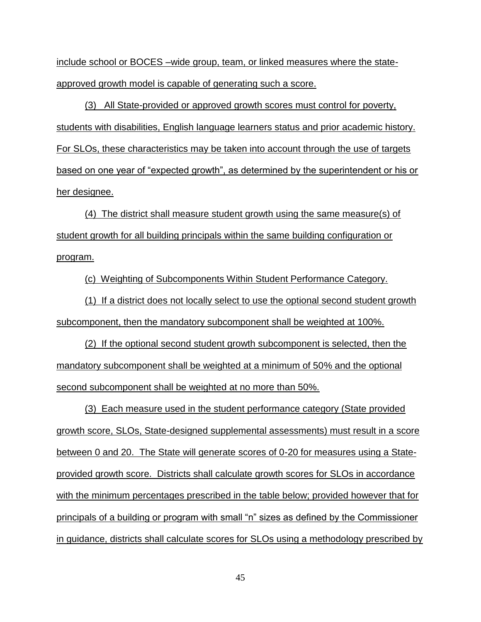include school or BOCES –wide group, team, or linked measures where the stateapproved growth model is capable of generating such a score.

(3) All State-provided or approved growth scores must control for poverty, students with disabilities, English language learners status and prior academic history. For SLOs, these characteristics may be taken into account through the use of targets based on one year of "expected growth", as determined by the superintendent or his or her designee.

(4) The district shall measure student growth using the same measure(s) of student growth for all building principals within the same building configuration or program.

(c) Weighting of Subcomponents Within Student Performance Category.

(1) If a district does not locally select to use the optional second student growth subcomponent, then the mandatory subcomponent shall be weighted at 100%.

(2) If the optional second student growth subcomponent is selected, then the mandatory subcomponent shall be weighted at a minimum of 50% and the optional second subcomponent shall be weighted at no more than 50%.

(3) Each measure used in the student performance category (State provided growth score, SLOs, State-designed supplemental assessments) must result in a score between 0 and 20. The State will generate scores of 0-20 for measures using a Stateprovided growth score. Districts shall calculate growth scores for SLOs in accordance with the minimum percentages prescribed in the table below; provided however that for principals of a building or program with small "n" sizes as defined by the Commissioner in guidance, districts shall calculate scores for SLOs using a methodology prescribed by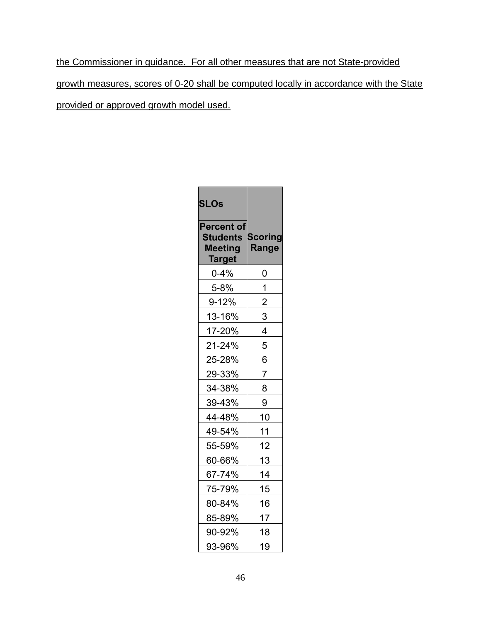the Commissioner in guidance. For all other measures that are not State-provided growth measures, scores of 0-20 shall be computed locally in accordance with the State provided or approved growth model used.

| <b>SLOs</b>                                                      |                                |  |
|------------------------------------------------------------------|--------------------------------|--|
| <b>Percent of</b><br><b>Students</b><br><b>Meeting</b><br>Target | <b>Scoring</b><br><b>Range</b> |  |
| $0 - 4%$                                                         | 0                              |  |
| 5-8%                                                             | 1                              |  |
| $9 - 12%$                                                        | 2                              |  |
| 13-16%                                                           | 3                              |  |
| 17-20%                                                           | 4                              |  |
| 21-24%                                                           | 5                              |  |
| 25-28%                                                           | 6                              |  |
| 29-33%                                                           | 7                              |  |
| 34-38%                                                           | 8                              |  |
| 39-43%                                                           | 9                              |  |
| 44-48%                                                           | 10                             |  |
| 49-54%                                                           | 11                             |  |
| 55-59%                                                           | 12                             |  |
| 60-66%                                                           | 13                             |  |
| 67-74%                                                           | 14                             |  |
| 75-79%                                                           | 15                             |  |
| 80-84%                                                           | 16                             |  |
| 85-89%                                                           | 17                             |  |
| 90-92%                                                           | 18                             |  |
| 93-96%                                                           | 19                             |  |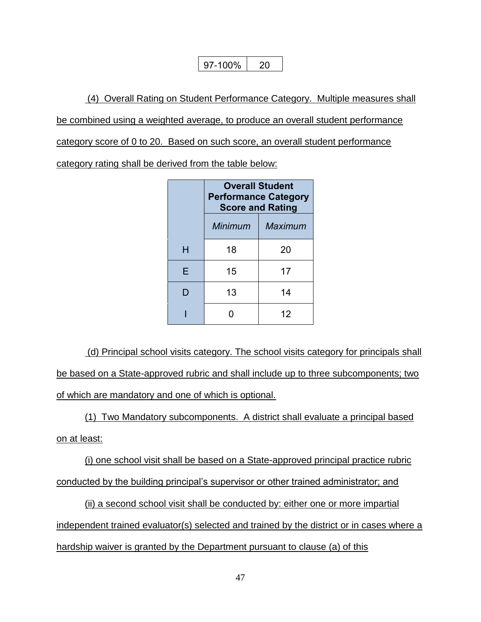$97-100\%$  | 20

(4) Overall Rating on Student Performance Category. Multiple measures shall be combined using a weighted average, to produce an overall student performance category score of 0 to 20. Based on such score, an overall student performance

category rating shall be derived from the table below:

|   | <b>Overall Student</b><br><b>Performance Category</b><br><b>Score and Rating</b> |    |  |  |
|---|----------------------------------------------------------------------------------|----|--|--|
|   | Minimum<br>Maximum                                                               |    |  |  |
| н | 18                                                                               | 20 |  |  |
| Е | 15                                                                               | 17 |  |  |
| D | 13                                                                               | 14 |  |  |
|   |                                                                                  | 12 |  |  |

(d) Principal school visits category. The school visits category for principals shall be based on a State-approved rubric and shall include up to three subcomponents; two of which are mandatory and one of which is optional.

(1) Two Mandatory subcomponents. A district shall evaluate a principal based on at least:

(i) one school visit shall be based on a State-approved principal practice rubric conducted by the building principal's supervisor or other trained administrator; and

(ii) a second school visit shall be conducted by: either one or more impartial independent trained evaluator(s) selected and trained by the district or in cases where a hardship waiver is granted by the Department pursuant to clause (a) of this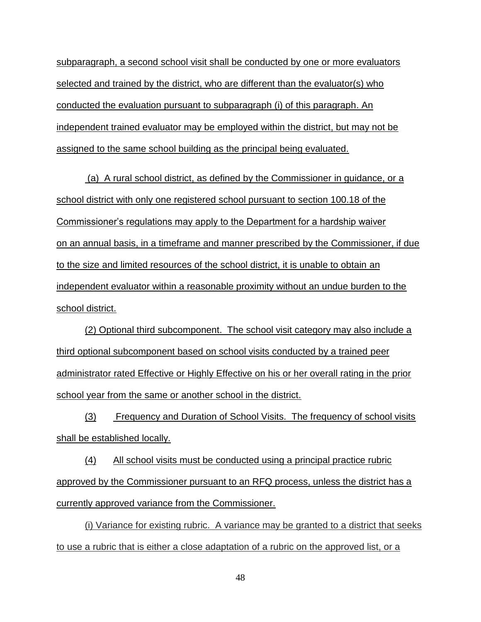subparagraph, a second school visit shall be conducted by one or more evaluators selected and trained by the district, who are different than the evaluator(s) who conducted the evaluation pursuant to subparagraph (i) of this paragraph. An independent trained evaluator may be employed within the district, but may not be assigned to the same school building as the principal being evaluated.

(a) A rural school district, as defined by the Commissioner in guidance, or a school district with only one registered school pursuant to section 100.18 of the Commissioner's regulations may apply to the Department for a hardship waiver on an annual basis, in a timeframe and manner prescribed by the Commissioner, if due to the size and limited resources of the school district, it is unable to obtain an independent evaluator within a reasonable proximity without an undue burden to the school district.

(2) Optional third subcomponent. The school visit category may also include a third optional subcomponent based on school visits conducted by a trained peer administrator rated Effective or Highly Effective on his or her overall rating in the prior school year from the same or another school in the district.

(3) Frequency and Duration of School Visits. The frequency of school visits shall be established locally.

(4) All school visits must be conducted using a principal practice rubric approved by the Commissioner pursuant to an RFQ process, unless the district has a currently approved variance from the Commissioner.

(i) Variance for existing rubric. A variance may be granted to a district that seeks to use a rubric that is either a close adaptation of a rubric on the approved list, or a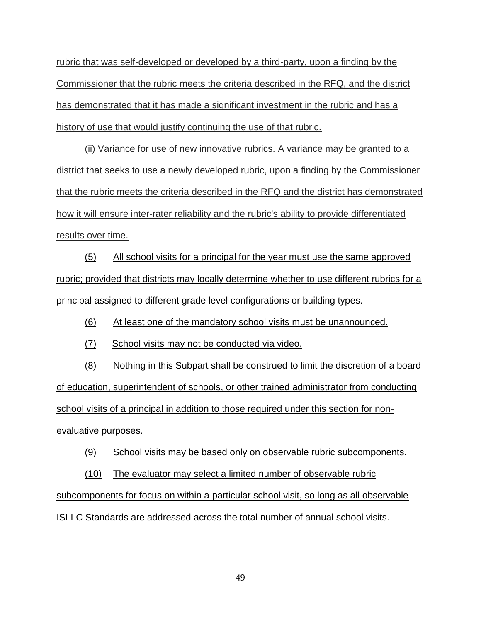rubric that was self-developed or developed by a third-party, upon a finding by the Commissioner that the rubric meets the criteria described in the RFQ, and the district has demonstrated that it has made a significant investment in the rubric and has a history of use that would justify continuing the use of that rubric.

(ii) Variance for use of new innovative rubrics. A variance may be granted to a district that seeks to use a newly developed rubric, upon a finding by the Commissioner that the rubric meets the criteria described in the RFQ and the district has demonstrated how it will ensure inter-rater reliability and the rubric's ability to provide differentiated results over time.

(5) All school visits for a principal for the year must use the same approved rubric; provided that districts may locally determine whether to use different rubrics for a principal assigned to different grade level configurations or building types.

(6) At least one of the mandatory school visits must be unannounced.

(7) School visits may not be conducted via video.

(8) Nothing in this Subpart shall be construed to limit the discretion of a board of education, superintendent of schools, or other trained administrator from conducting school visits of a principal in addition to those required under this section for nonevaluative purposes.

(9) School visits may be based only on observable rubric subcomponents.

(10) The evaluator may select a limited number of observable rubric subcomponents for focus on within a particular school visit, so long as all observable ISLLC Standards are addressed across the total number of annual school visits.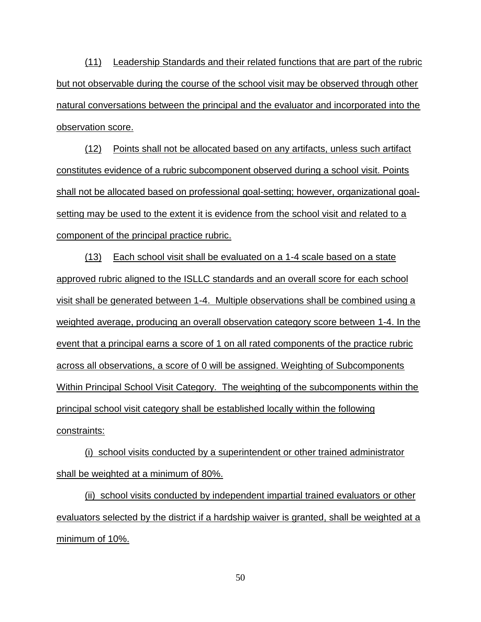(11) Leadership Standards and their related functions that are part of the rubric but not observable during the course of the school visit may be observed through other natural conversations between the principal and the evaluator and incorporated into the observation score.

(12) Points shall not be allocated based on any artifacts, unless such artifact constitutes evidence of a rubric subcomponent observed during a school visit. Points shall not be allocated based on professional goal-setting; however, organizational goalsetting may be used to the extent it is evidence from the school visit and related to a component of the principal practice rubric.

(13) Each school visit shall be evaluated on a 1-4 scale based on a state approved rubric aligned to the ISLLC standards and an overall score for each school visit shall be generated between 1-4. Multiple observations shall be combined using a weighted average, producing an overall observation category score between 1-4. In the event that a principal earns a score of 1 on all rated components of the practice rubric across all observations, a score of 0 will be assigned. Weighting of Subcomponents Within Principal School Visit Category. The weighting of the subcomponents within the principal school visit category shall be established locally within the following constraints:

(i) school visits conducted by a superintendent or other trained administrator shall be weighted at a minimum of 80%.

(ii) school visits conducted by independent impartial trained evaluators or other evaluators selected by the district if a hardship waiver is granted, shall be weighted at a minimum of 10%.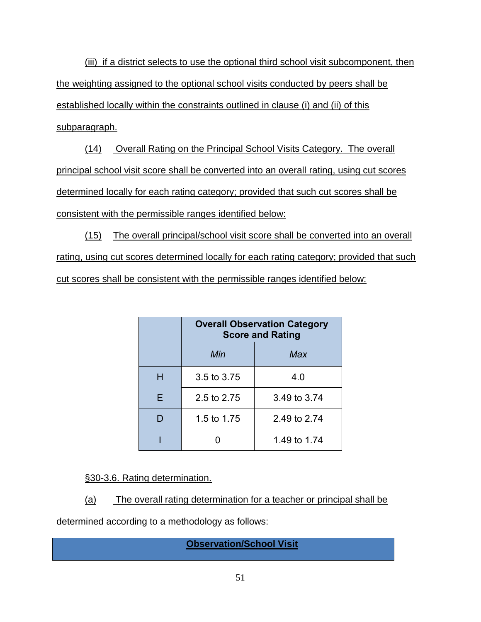(iii) if a district selects to use the optional third school visit subcomponent, then the weighting assigned to the optional school visits conducted by peers shall be established locally within the constraints outlined in clause (i) and (ii) of this subparagraph.

(14) Overall Rating on the Principal School Visits Category. The overall principal school visit score shall be converted into an overall rating, using cut scores determined locally for each rating category; provided that such cut scores shall be consistent with the permissible ranges identified below:

(15) The overall principal/school visit score shall be converted into an overall rating, using cut scores determined locally for each rating category; provided that such cut scores shall be consistent with the permissible ranges identified below:

|   | <b>Overall Observation Category</b><br><b>Score and Rating</b> |              |  |
|---|----------------------------------------------------------------|--------------|--|
|   | Min                                                            | Max          |  |
| н | 3.5 to 3.75                                                    | 4.0          |  |
| F | 2.5 to 2.75                                                    | 3.49 to 3.74 |  |
|   | 1.5 to 1.75                                                    | 2.49 to 2.74 |  |
|   |                                                                | 1.49 to 1.74 |  |

§30-3.6. Rating determination.

(a) The overall rating determination for a teacher or principal shall be

determined according to a methodology as follows:

### **Observation/School Visit**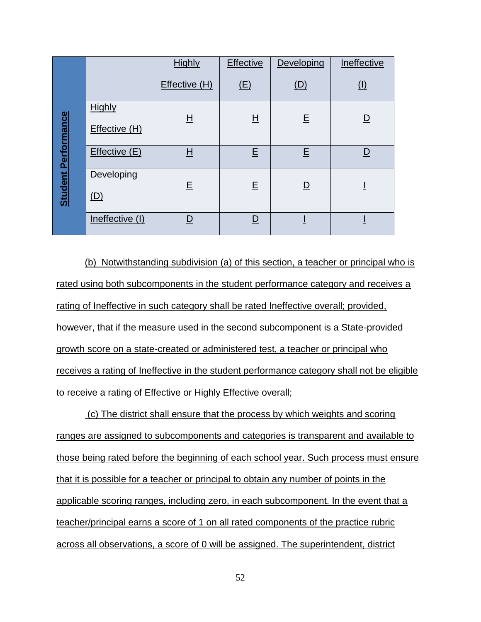|                            |                 | <b>Highly</b>            | <b>Effective</b>         | Developing              | Ineffective             |
|----------------------------|-----------------|--------------------------|--------------------------|-------------------------|-------------------------|
|                            |                 | Effective (H)            | (E)                      | (D)                     | (1)                     |
| <b>Student Performance</b> | <b>Highly</b>   |                          |                          |                         |                         |
|                            | Effective (H)   | $\overline{\mathsf{H}}$  | $H_{\parallel}$          | E                       | $\overline{\mathsf{D}}$ |
|                            | Effective (E)   | $\underline{\mathsf{H}}$ | E                        | Ε                       | <u>D</u>                |
|                            | Developing      | E                        | E                        | $\overline{\mathsf{D}}$ |                         |
|                            | <u>(D)</u>      |                          |                          |                         |                         |
|                            | Ineffective (I) | <u>D</u>                 | $\underline{\mathsf{D}}$ |                         |                         |

(b) Notwithstanding subdivision (a) of this section, a teacher or principal who is rated using both subcomponents in the student performance category and receives a rating of Ineffective in such category shall be rated Ineffective overall; provided, however, that if the measure used in the second subcomponent is a State-provided growth score on a state-created or administered test, a teacher or principal who receives a rating of Ineffective in the student performance category shall not be eligible to receive a rating of Effective or Highly Effective overall;

(c) The district shall ensure that the process by which weights and scoring ranges are assigned to subcomponents and categories is transparent and available to those being rated before the beginning of each school year. Such process must ensure that it is possible for a teacher or principal to obtain any number of points in the applicable scoring ranges, including zero, in each subcomponent. In the event that a teacher/principal earns a score of 1 on all rated components of the practice rubric across all observations, a score of 0 will be assigned. The superintendent, district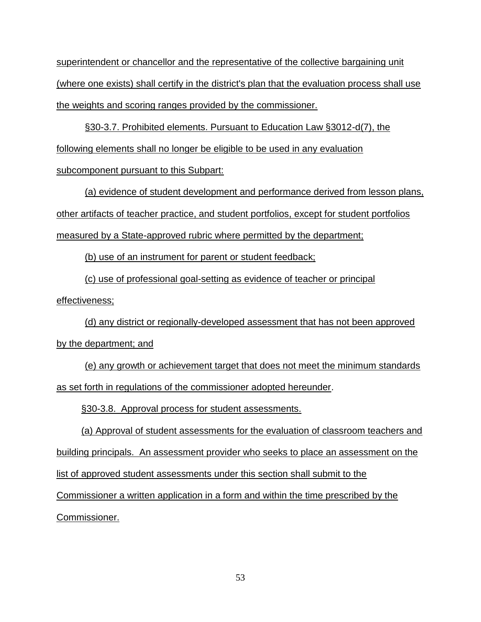superintendent or chancellor and the representative of the collective bargaining unit (where one exists) shall certify in the district's plan that the evaluation process shall use the weights and scoring ranges provided by the commissioner.

§30-3.7. Prohibited elements. Pursuant to Education Law §3012-d(7), the following elements shall no longer be eligible to be used in any evaluation

subcomponent pursuant to this Subpart:

(a) evidence of student development and performance derived from lesson plans, other artifacts of teacher practice, and student portfolios, except for student portfolios measured by a State-approved rubric where permitted by the department;

(b) use of an instrument for parent or student feedback;

(c) use of professional goal-setting as evidence of teacher or principal effectiveness;

(d) any district or regionally-developed assessment that has not been approved by the department; and

(e) any growth or achievement target that does not meet the minimum standards as set forth in regulations of the commissioner adopted hereunder.

§30-3.8. Approval process for student assessments.

(a) Approval of student assessments for the evaluation of classroom teachers and building principals. An assessment provider who seeks to place an assessment on the list of approved student assessments under this section shall submit to the Commissioner a written application in a form and within the time prescribed by the

Commissioner.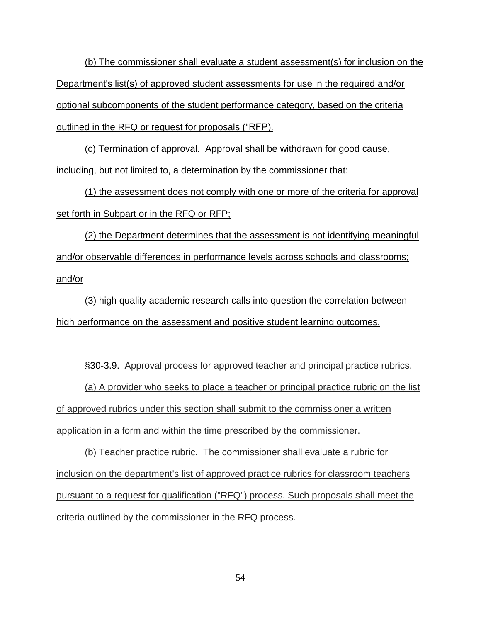(b) The commissioner shall evaluate a student assessment(s) for inclusion on the Department's list(s) of approved student assessments for use in the required and/or optional subcomponents of the student performance category, based on the criteria outlined in the RFQ or request for proposals ("RFP).

(c) Termination of approval. Approval shall be withdrawn for good cause, including, but not limited to, a determination by the commissioner that:

(1) the assessment does not comply with one or more of the criteria for approval set forth in Subpart or in the RFQ or RFP;

(2) the Department determines that the assessment is not identifying meaningful and/or observable differences in performance levels across schools and classrooms; and/or

(3) high quality academic research calls into question the correlation between high performance on the assessment and positive student learning outcomes.

§30-3.9. Approval process for approved teacher and principal practice rubrics.

(a) A provider who seeks to place a teacher or principal practice rubric on the list of approved rubrics under this section shall submit to the commissioner a written application in a form and within the time prescribed by the commissioner.

(b) Teacher practice rubric. The commissioner shall evaluate a rubric for inclusion on the department's list of approved practice rubrics for classroom teachers pursuant to a request for qualification ("RFQ") process. Such proposals shall meet the criteria outlined by the commissioner in the RFQ process.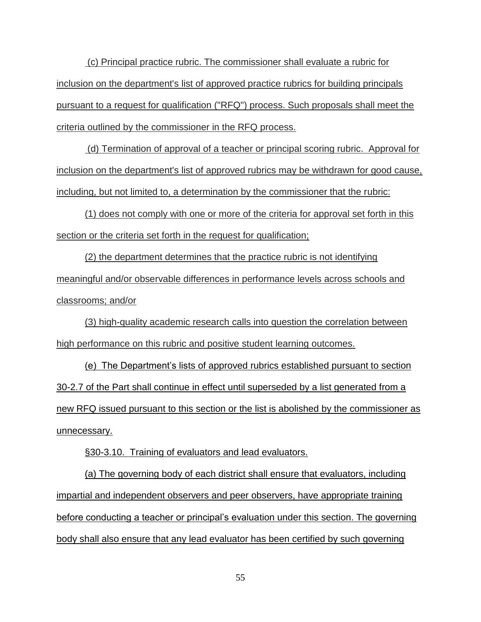(c) Principal practice rubric. The commissioner shall evaluate a rubric for inclusion on the department's list of approved practice rubrics for building principals pursuant to a request for qualification ("RFQ") process. Such proposals shall meet the criteria outlined by the commissioner in the RFQ process.

(d) Termination of approval of a teacher or principal scoring rubric. Approval for inclusion on the department's list of approved rubrics may be withdrawn for good cause, including, but not limited to, a determination by the commissioner that the rubric:

(1) does not comply with one or more of the criteria for approval set forth in this section or the criteria set forth in the request for qualification;

(2) the department determines that the practice rubric is not identifying meaningful and/or observable differences in performance levels across schools and classrooms; and/or

(3) high-quality academic research calls into question the correlation between high performance on this rubric and positive student learning outcomes.

(e) The Department's lists of approved rubrics established pursuant to section 30-2.7 of the Part shall continue in effect until superseded by a list generated from a new RFQ issued pursuant to this section or the list is abolished by the commissioner as unnecessary.

§30-3.10. Training of evaluators and lead evaluators.

(a) The governing body of each district shall ensure that evaluators, including impartial and independent observers and peer observers, have appropriate training before conducting a teacher or principal's evaluation under this section. The governing body shall also ensure that any lead evaluator has been certified by such governing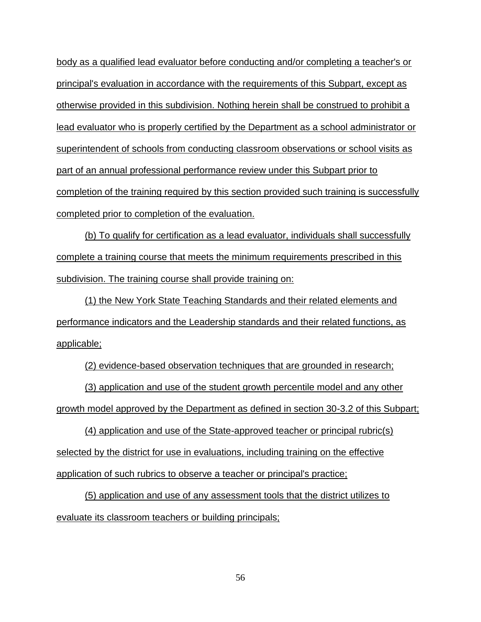body as a qualified lead evaluator before conducting and/or completing a teacher's or principal's evaluation in accordance with the requirements of this Subpart, except as otherwise provided in this subdivision. Nothing herein shall be construed to prohibit a lead evaluator who is properly certified by the Department as a school administrator or superintendent of schools from conducting classroom observations or school visits as part of an annual professional performance review under this Subpart prior to completion of the training required by this section provided such training is successfully completed prior to completion of the evaluation.

(b) To qualify for certification as a lead evaluator, individuals shall successfully complete a training course that meets the minimum requirements prescribed in this subdivision. The training course shall provide training on:

(1) the New York State Teaching Standards and their related elements and performance indicators and the Leadership standards and their related functions, as applicable;

(2) evidence-based observation techniques that are grounded in research;

(3) application and use of the student growth percentile model and any other growth model approved by the Department as defined in section 30-3.2 of this Subpart;

(4) application and use of the State-approved teacher or principal rubric(s) selected by the district for use in evaluations, including training on the effective application of such rubrics to observe a teacher or principal's practice;

(5) application and use of any assessment tools that the district utilizes to evaluate its classroom teachers or building principals;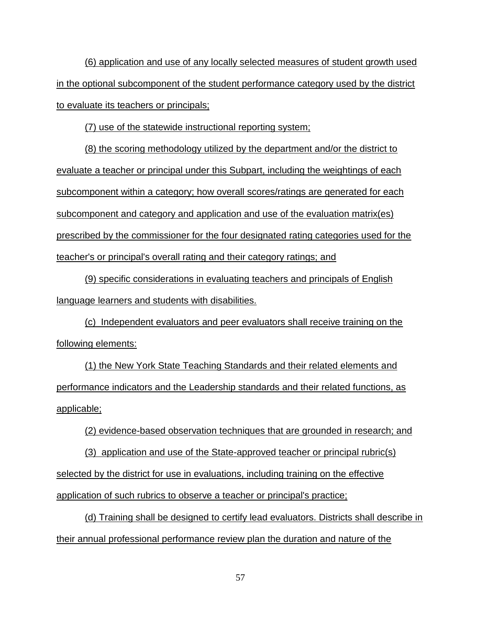(6) application and use of any locally selected measures of student growth used in the optional subcomponent of the student performance category used by the district to evaluate its teachers or principals;

(7) use of the statewide instructional reporting system;

(8) the scoring methodology utilized by the department and/or the district to evaluate a teacher or principal under this Subpart, including the weightings of each subcomponent within a category; how overall scores/ratings are generated for each subcomponent and category and application and use of the evaluation matrix(es) prescribed by the commissioner for the four designated rating categories used for the teacher's or principal's overall rating and their category ratings; and

(9) specific considerations in evaluating teachers and principals of English language learners and students with disabilities.

(c) Independent evaluators and peer evaluators shall receive training on the following elements:

(1) the New York State Teaching Standards and their related elements and performance indicators and the Leadership standards and their related functions, as applicable;

(2) evidence-based observation techniques that are grounded in research; and

(3) application and use of the State-approved teacher or principal rubric(s) selected by the district for use in evaluations, including training on the effective application of such rubrics to observe a teacher or principal's practice;

(d) Training shall be designed to certify lead evaluators. Districts shall describe in their annual professional performance review plan the duration and nature of the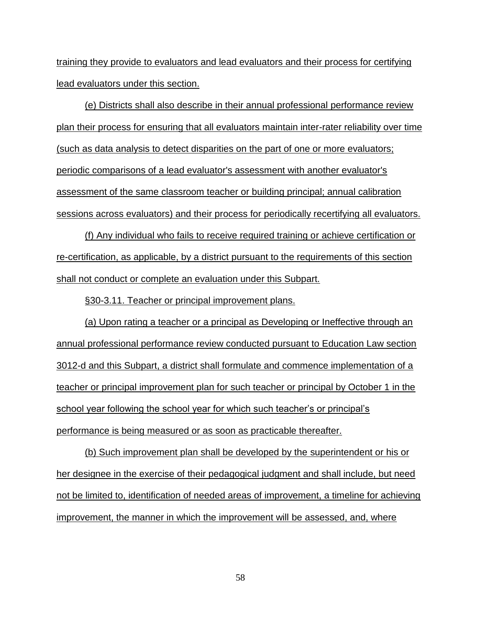training they provide to evaluators and lead evaluators and their process for certifying lead evaluators under this section.

(e) Districts shall also describe in their annual professional performance review plan their process for ensuring that all evaluators maintain inter-rater reliability over time (such as data analysis to detect disparities on the part of one or more evaluators; periodic comparisons of a lead evaluator's assessment with another evaluator's assessment of the same classroom teacher or building principal; annual calibration sessions across evaluators) and their process for periodically recertifying all evaluators.

(f) Any individual who fails to receive required training or achieve certification or re-certification, as applicable, by a district pursuant to the requirements of this section shall not conduct or complete an evaluation under this Subpart.

§30-3.11. Teacher or principal improvement plans.

(a) Upon rating a teacher or a principal as Developing or Ineffective through an annual professional performance review conducted pursuant to Education Law section 3012-d and this Subpart, a district shall formulate and commence implementation of a teacher or principal improvement plan for such teacher or principal by October 1 in the school year following the school year for which such teacher's or principal's performance is being measured or as soon as practicable thereafter.

(b) Such improvement plan shall be developed by the superintendent or his or her designee in the exercise of their pedagogical judgment and shall include, but need not be limited to, identification of needed areas of improvement, a timeline for achieving improvement, the manner in which the improvement will be assessed, and, where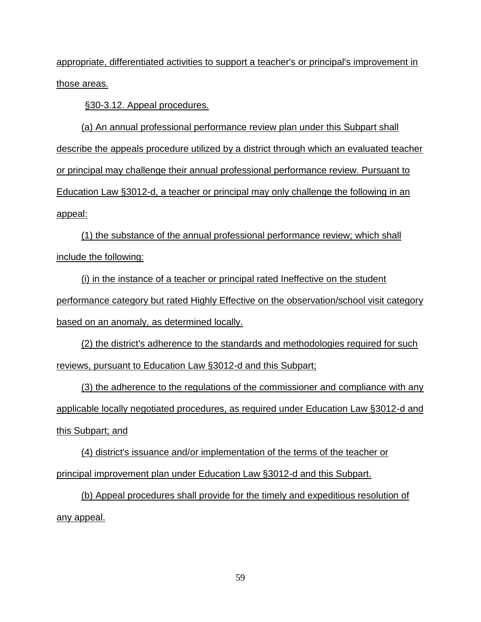appropriate, differentiated activities to support a teacher's or principal's improvement in those areas.

§30-3.12. Appeal procedures.

(a) An annual professional performance review plan under this Subpart shall describe the appeals procedure utilized by a district through which an evaluated teacher or principal may challenge their annual professional performance review. Pursuant to Education Law §3012-d, a teacher or principal may only challenge the following in an appeal:

(1) the substance of the annual professional performance review; which shall include the following:

(i) in the instance of a teacher or principal rated Ineffective on the student performance category but rated Highly Effective on the observation/school visit category based on an anomaly, as determined locally.

(2) the district's adherence to the standards and methodologies required for such reviews, pursuant to Education Law §3012-d and this Subpart;

(3) the adherence to the regulations of the commissioner and compliance with any applicable locally negotiated procedures, as required under Education Law §3012-d and this Subpart; and

(4) district's issuance and/or implementation of the terms of the teacher or principal improvement plan under Education Law §3012-d and this Subpart.

(b) Appeal procedures shall provide for the timely and expeditious resolution of any appeal.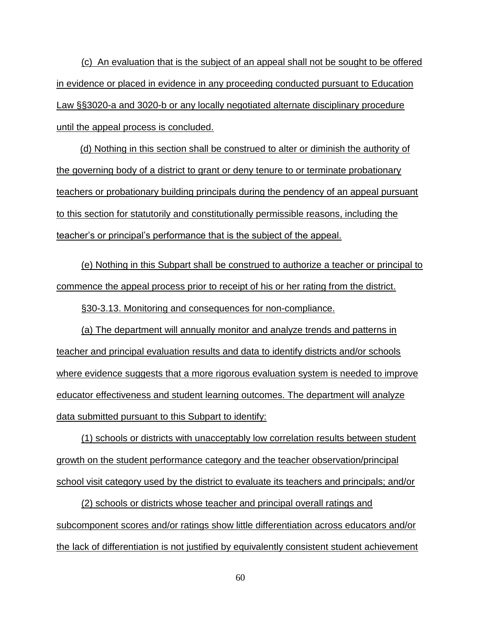(c) An evaluation that is the subject of an appeal shall not be sought to be offered in evidence or placed in evidence in any proceeding conducted pursuant to Education Law §§3020-a and 3020-b or any locally negotiated alternate disciplinary procedure until the appeal process is concluded.

 (d) Nothing in this section shall be construed to alter or diminish the authority of the governing body of a district to grant or deny tenure to or terminate probationary teachers or probationary building principals during the pendency of an appeal pursuant to this section for statutorily and constitutionally permissible reasons, including the teacher's or principal's performance that is the subject of the appeal.

(e) Nothing in this Subpart shall be construed to authorize a teacher or principal to commence the appeal process prior to receipt of his or her rating from the district.

§30-3.13. Monitoring and consequences for non-compliance.

(a) The department will annually monitor and analyze trends and patterns in teacher and principal evaluation results and data to identify districts and/or schools where evidence suggests that a more rigorous evaluation system is needed to improve educator effectiveness and student learning outcomes. The department will analyze data submitted pursuant to this Subpart to identify:

(1) schools or districts with unacceptably low correlation results between student growth on the student performance category and the teacher observation/principal school visit category used by the district to evaluate its teachers and principals; and/or

(2) schools or districts whose teacher and principal overall ratings and subcomponent scores and/or ratings show little differentiation across educators and/or the lack of differentiation is not justified by equivalently consistent student achievement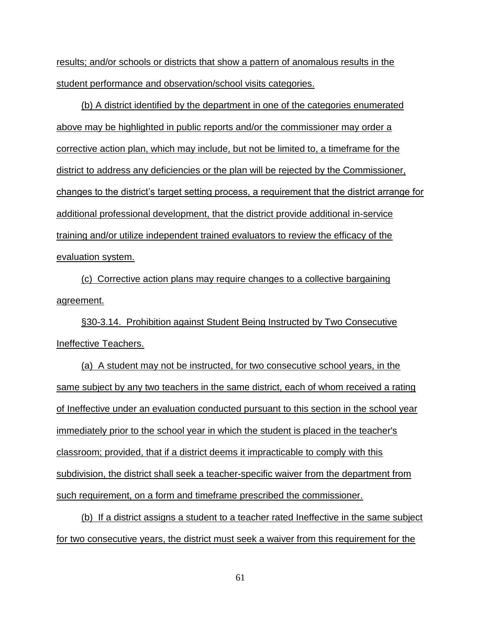results; and/or schools or districts that show a pattern of anomalous results in the student performance and observation/school visits categories.

(b) A district identified by the department in one of the categories enumerated above may be highlighted in public reports and/or the commissioner may order a corrective action plan, which may include, but not be limited to, a timeframe for the district to address any deficiencies or the plan will be rejected by the Commissioner, changes to the district's target setting process, a requirement that the district arrange for additional professional development, that the district provide additional in-service training and/or utilize independent trained evaluators to review the efficacy of the evaluation system.

(c) Corrective action plans may require changes to a collective bargaining agreement.

§30-3.14. Prohibition against Student Being Instructed by Two Consecutive Ineffective Teachers.

(a) A student may not be instructed, for two consecutive school years, in the same subject by any two teachers in the same district, each of whom received a rating of Ineffective under an evaluation conducted pursuant to this section in the school year immediately prior to the school year in which the student is placed in the teacher's classroom; provided, that if a district deems it impracticable to comply with this subdivision, the district shall seek a teacher-specific waiver from the department from such requirement, on a form and timeframe prescribed the commissioner.

(b) If a district assigns a student to a teacher rated Ineffective in the same subject for two consecutive years, the district must seek a waiver from this requirement for the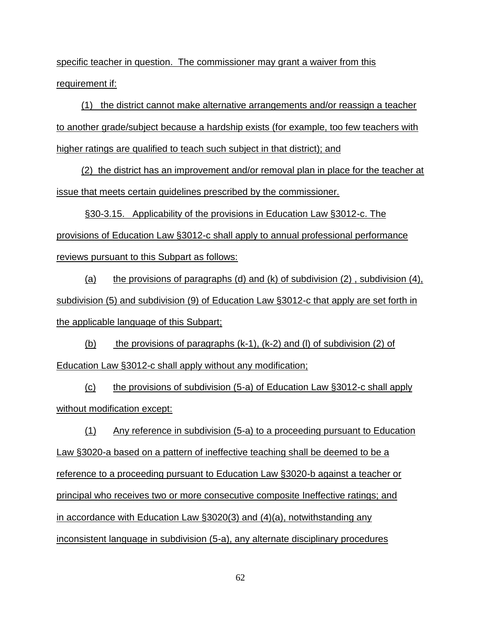specific teacher in question. The commissioner may grant a waiver from this requirement if:

(1) the district cannot make alternative arrangements and/or reassign a teacher to another grade/subject because a hardship exists (for example, too few teachers with higher ratings are qualified to teach such subject in that district); and

(2) the district has an improvement and/or removal plan in place for the teacher at issue that meets certain guidelines prescribed by the commissioner.

§30-3.15. Applicability of the provisions in Education Law §3012-c. The provisions of Education Law §3012-c shall apply to annual professional performance reviews pursuant to this Subpart as follows:

(a) the provisions of paragraphs (d) and (k) of subdivision  $(2)$ , subdivision  $(4)$ , subdivision (5) and subdivision (9) of Education Law §3012-c that apply are set forth in the applicable language of this Subpart;

(b) the provisions of paragraphs  $(k-1)$ ,  $(k-2)$  and (l) of subdivision (2) of Education Law §3012-c shall apply without any modification;

(c) the provisions of subdivision (5-a) of Education Law §3012-c shall apply without modification except:

(1) Any reference in subdivision (5-a) to a proceeding pursuant to Education Law §3020-a based on a pattern of ineffective teaching shall be deemed to be a reference to a proceeding pursuant to Education Law §3020-b against a teacher or principal who receives two or more consecutive composite Ineffective ratings; and in accordance with Education Law §3020(3) and (4)(a), notwithstanding any inconsistent language in subdivision (5-a), any alternate disciplinary procedures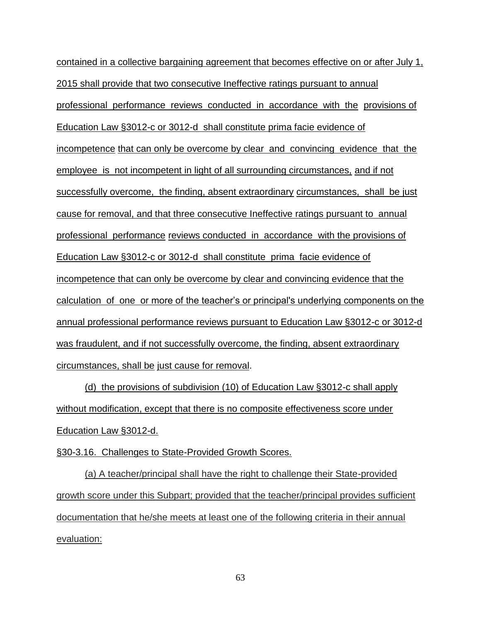contained in a collective bargaining agreement that becomes effective on or after July 1, 2015 shall provide that two consecutive Ineffective ratings pursuant to annual professional performance reviews conducted in accordance with the provisions of Education Law §3012-c or 3012-d shall constitute prima facie evidence of incompetence that can only be overcome by clear and convincing evidence that the employee is not incompetent in light of all surrounding circumstances, and if not successfully overcome, the finding, absent extraordinary circumstances, shall be just cause for removal, and that three consecutive Ineffective ratings pursuant to annual professional performance reviews conducted in accordance with the provisions of Education Law §3012-c or 3012-d shall constitute prima facie evidence of incompetence that can only be overcome by clear and convincing evidence that the calculation of one or more of the teacher's or principal's underlying components on the annual professional performance reviews pursuant to Education Law §3012-c or 3012-d was fraudulent, and if not successfully overcome, the finding, absent extraordinary circumstances, shall be just cause for removal.

(d) the provisions of subdivision (10) of Education Law §3012-c shall apply without modification, except that there is no composite effectiveness score under Education Law §3012-d.

§30-3.16. Challenges to State-Provided Growth Scores.

(a) A teacher/principal shall have the right to challenge their State-provided growth score under this Subpart; provided that the teacher/principal provides sufficient documentation that he/she meets at least one of the following criteria in their annual evaluation: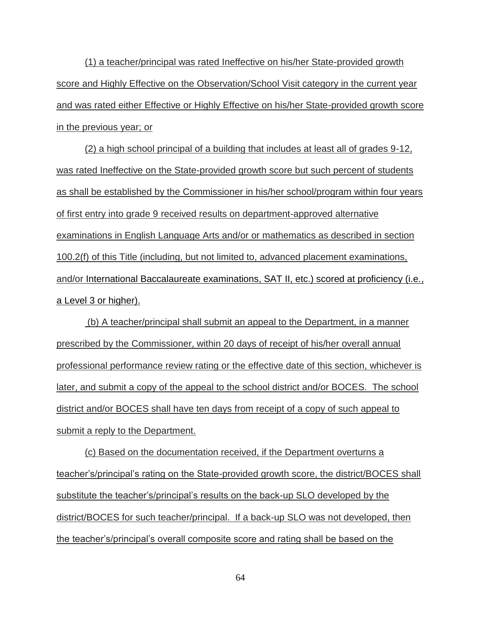(1) a teacher/principal was rated Ineffective on his/her State-provided growth score and Highly Effective on the Observation/School Visit category in the current year and was rated either Effective or Highly Effective on his/her State-provided growth score in the previous year; or

(2) a high school principal of a building that includes at least all of grades 9-12, was rated Ineffective on the State-provided growth score but such percent of students as shall be established by the Commissioner in his/her school/program within four years of first entry into grade 9 received results on department-approved alternative examinations in English Language Arts and/or or mathematics as described in section 100.2(f) of this Title (including, but not limited to, advanced placement examinations, and/or International Baccalaureate examinations, SAT II, etc.) scored at proficiency (i.e., a Level 3 or higher).

(b) A teacher/principal shall submit an appeal to the Department, in a manner prescribed by the Commissioner, within 20 days of receipt of his/her overall annual professional performance review rating or the effective date of this section, whichever is later, and submit a copy of the appeal to the school district and/or BOCES. The school district and/or BOCES shall have ten days from receipt of a copy of such appeal to submit a reply to the Department.

(c) Based on the documentation received, if the Department overturns a teacher's/principal's rating on the State-provided growth score, the district/BOCES shall substitute the teacher's/principal's results on the back-up SLO developed by the district/BOCES for such teacher/principal. If a back-up SLO was not developed, then the teacher's/principal's overall composite score and rating shall be based on the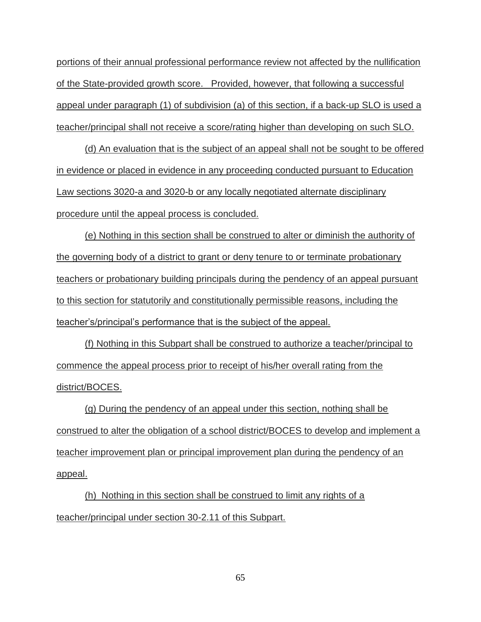portions of their annual professional performance review not affected by the nullification of the State-provided growth score. Provided, however, that following a successful appeal under paragraph (1) of subdivision (a) of this section, if a back-up SLO is used a teacher/principal shall not receive a score/rating higher than developing on such SLO.

(d) An evaluation that is the subject of an appeal shall not be sought to be offered in evidence or placed in evidence in any proceeding conducted pursuant to Education Law sections 3020-a and 3020-b or any locally negotiated alternate disciplinary procedure until the appeal process is concluded.

(e) Nothing in this section shall be construed to alter or diminish the authority of the governing body of a district to grant or deny tenure to or terminate probationary teachers or probationary building principals during the pendency of an appeal pursuant to this section for statutorily and constitutionally permissible reasons, including the teacher's/principal's performance that is the subject of the appeal.

(f) Nothing in this Subpart shall be construed to authorize a teacher/principal to commence the appeal process prior to receipt of his/her overall rating from the district/BOCES.

(g) During the pendency of an appeal under this section, nothing shall be construed to alter the obligation of a school district/BOCES to develop and implement a teacher improvement plan or principal improvement plan during the pendency of an appeal.

(h) Nothing in this section shall be construed to limit any rights of a teacher/principal under section 30-2.11 of this Subpart.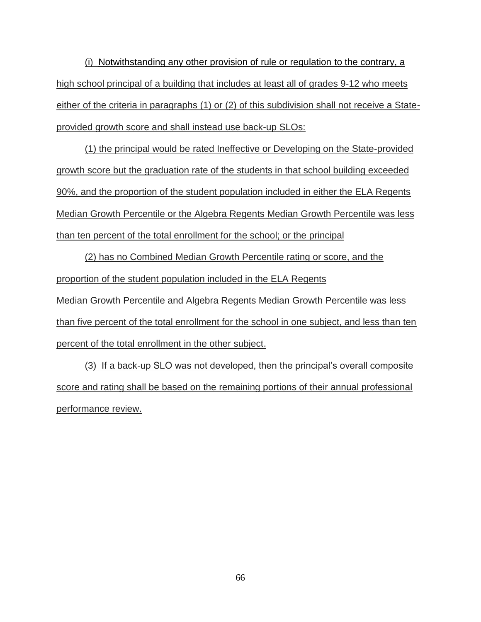(i) Notwithstanding any other provision of rule or regulation to the contrary, a high school principal of a building that includes at least all of grades 9-12 who meets either of the criteria in paragraphs (1) or (2) of this subdivision shall not receive a Stateprovided growth score and shall instead use back-up SLOs:

(1) the principal would be rated Ineffective or Developing on the State-provided growth score but the graduation rate of the students in that school building exceeded 90%, and the proportion of the student population included in either the ELA Regents Median Growth Percentile or the Algebra Regents Median Growth Percentile was less than ten percent of the total enrollment for the school; or the principal

(2) has no Combined Median Growth Percentile rating or score, and the proportion of the student population included in the ELA Regents Median Growth Percentile and Algebra Regents Median Growth Percentile was less than five percent of the total enrollment for the school in one subject, and less than ten

percent of the total enrollment in the other subject.

(3) If a back-up SLO was not developed, then the principal's overall composite score and rating shall be based on the remaining portions of their annual professional performance review.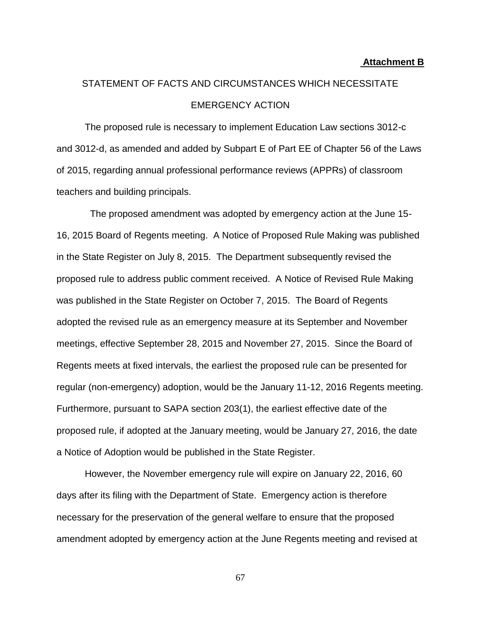#### **Attachment B**

# STATEMENT OF FACTS AND CIRCUMSTANCES WHICH NECESSITATE EMERGENCY ACTION

The proposed rule is necessary to implement Education Law sections 3012-c and 3012-d, as amended and added by Subpart E of Part EE of Chapter 56 of the Laws of 2015, regarding annual professional performance reviews (APPRs) of classroom teachers and building principals.

 The proposed amendment was adopted by emergency action at the June 15- 16, 2015 Board of Regents meeting. A Notice of Proposed Rule Making was published in the State Register on July 8, 2015. The Department subsequently revised the proposed rule to address public comment received. A Notice of Revised Rule Making was published in the State Register on October 7, 2015. The Board of Regents adopted the revised rule as an emergency measure at its September and November meetings, effective September 28, 2015 and November 27, 2015. Since the Board of Regents meets at fixed intervals, the earliest the proposed rule can be presented for regular (non-emergency) adoption, would be the January 11-12, 2016 Regents meeting. Furthermore, pursuant to SAPA section 203(1), the earliest effective date of the proposed rule, if adopted at the January meeting, would be January 27, 2016, the date a Notice of Adoption would be published in the State Register.

However, the November emergency rule will expire on January 22, 2016, 60 days after its filing with the Department of State. Emergency action is therefore necessary for the preservation of the general welfare to ensure that the proposed amendment adopted by emergency action at the June Regents meeting and revised at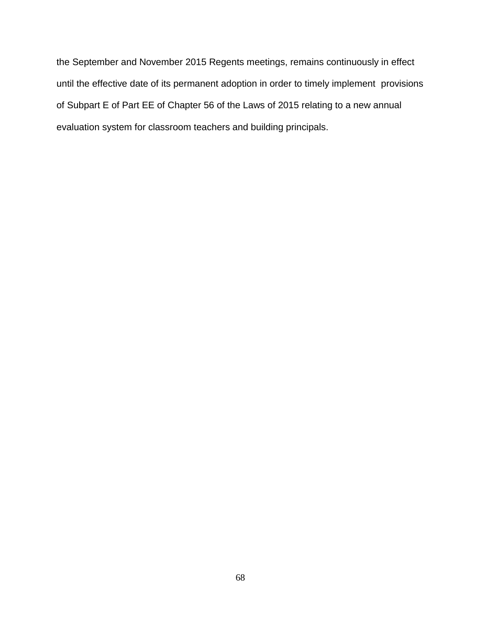the September and November 2015 Regents meetings, remains continuously in effect until the effective date of its permanent adoption in order to timely implement provisions of Subpart E of Part EE of Chapter 56 of the Laws of 2015 relating to a new annual evaluation system for classroom teachers and building principals.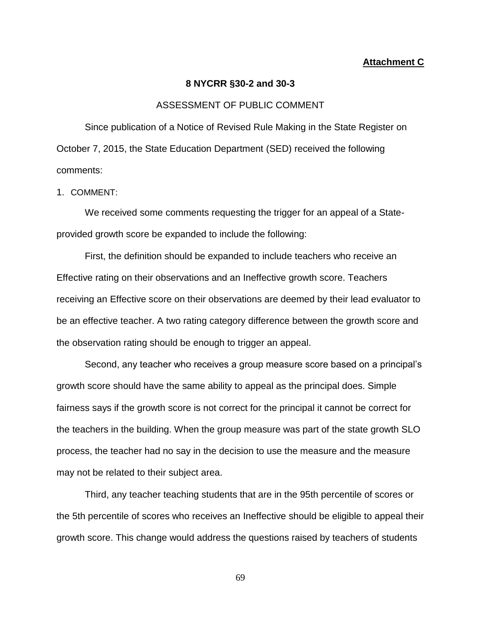#### **Attachment C**

#### **8 NYCRR §30-2 and 30-3**

#### ASSESSMENT OF PUBLIC COMMENT

Since publication of a Notice of Revised Rule Making in the State Register on October 7, 2015, the State Education Department (SED) received the following comments:

#### 1. COMMENT:

We received some comments requesting the trigger for an appeal of a Stateprovided growth score be expanded to include the following:

First, the definition should be expanded to include teachers who receive an Effective rating on their observations and an Ineffective growth score. Teachers receiving an Effective score on their observations are deemed by their lead evaluator to be an effective teacher. A two rating category difference between the growth score and the observation rating should be enough to trigger an appeal.

Second, any teacher who receives a group measure score based on a principal's growth score should have the same ability to appeal as the principal does. Simple fairness says if the growth score is not correct for the principal it cannot be correct for the teachers in the building. When the group measure was part of the state growth SLO process, the teacher had no say in the decision to use the measure and the measure may not be related to their subject area.

Third, any teacher teaching students that are in the 95th percentile of scores or the 5th percentile of scores who receives an Ineffective should be eligible to appeal their growth score. This change would address the questions raised by teachers of students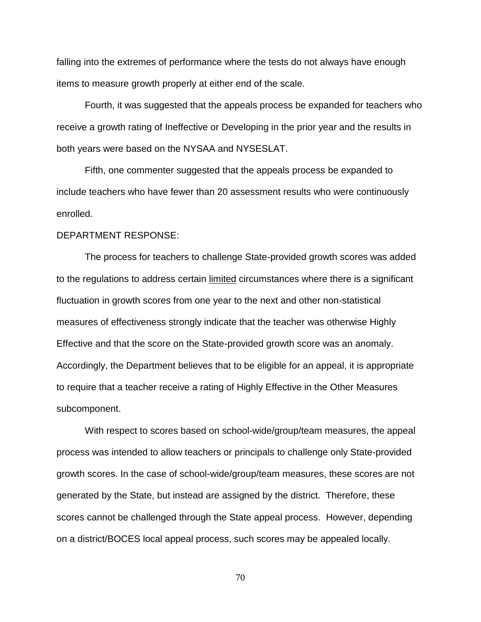falling into the extremes of performance where the tests do not always have enough items to measure growth properly at either end of the scale.

Fourth, it was suggested that the appeals process be expanded for teachers who receive a growth rating of Ineffective or Developing in the prior year and the results in both years were based on the NYSAA and NYSESLAT.

Fifth, one commenter suggested that the appeals process be expanded to include teachers who have fewer than 20 assessment results who were continuously enrolled.

#### DEPARTMENT RESPONSE:

The process for teachers to challenge State-provided growth scores was added to the regulations to address certain limited circumstances where there is a significant fluctuation in growth scores from one year to the next and other non-statistical measures of effectiveness strongly indicate that the teacher was otherwise Highly Effective and that the score on the State-provided growth score was an anomaly. Accordingly, the Department believes that to be eligible for an appeal, it is appropriate to require that a teacher receive a rating of Highly Effective in the Other Measures subcomponent.

With respect to scores based on school-wide/group/team measures, the appeal process was intended to allow teachers or principals to challenge only State-provided growth scores. In the case of school-wide/group/team measures, these scores are not generated by the State, but instead are assigned by the district. Therefore, these scores cannot be challenged through the State appeal process. However, depending on a district/BOCES local appeal process, such scores may be appealed locally.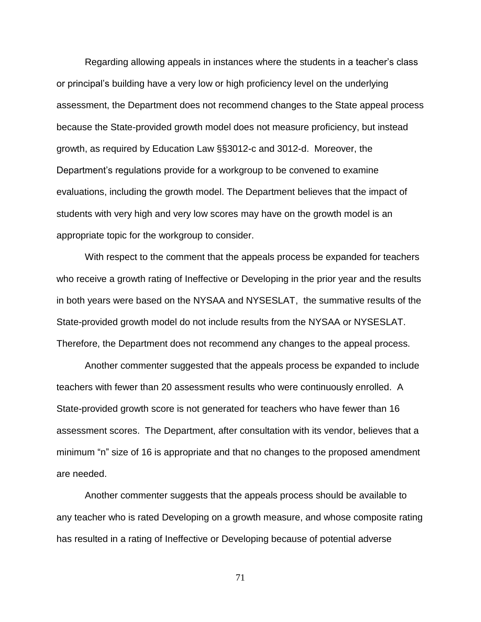Regarding allowing appeals in instances where the students in a teacher's class or principal's building have a very low or high proficiency level on the underlying assessment, the Department does not recommend changes to the State appeal process because the State-provided growth model does not measure proficiency, but instead growth, as required by Education Law §§3012-c and 3012-d. Moreover, the Department's regulations provide for a workgroup to be convened to examine evaluations, including the growth model. The Department believes that the impact of students with very high and very low scores may have on the growth model is an appropriate topic for the workgroup to consider.

With respect to the comment that the appeals process be expanded for teachers who receive a growth rating of Ineffective or Developing in the prior year and the results in both years were based on the NYSAA and NYSESLAT, the summative results of the State-provided growth model do not include results from the NYSAA or NYSESLAT. Therefore, the Department does not recommend any changes to the appeal process.

Another commenter suggested that the appeals process be expanded to include teachers with fewer than 20 assessment results who were continuously enrolled. A State-provided growth score is not generated for teachers who have fewer than 16 assessment scores. The Department, after consultation with its vendor, believes that a minimum "n" size of 16 is appropriate and that no changes to the proposed amendment are needed.

Another commenter suggests that the appeals process should be available to any teacher who is rated Developing on a growth measure, and whose composite rating has resulted in a rating of Ineffective or Developing because of potential adverse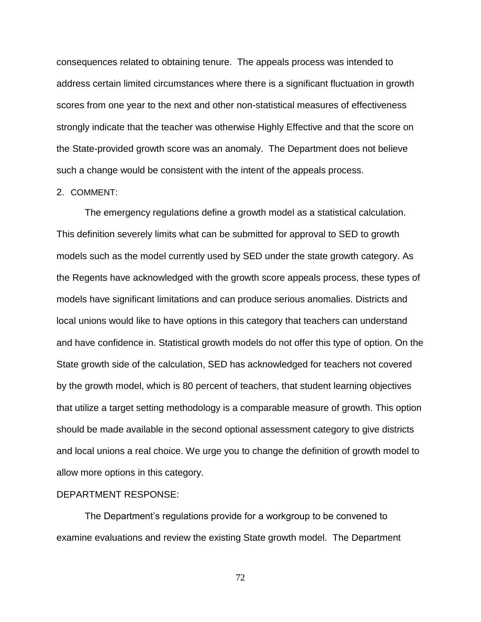consequences related to obtaining tenure. The appeals process was intended to address certain limited circumstances where there is a significant fluctuation in growth scores from one year to the next and other non-statistical measures of effectiveness strongly indicate that the teacher was otherwise Highly Effective and that the score on the State-provided growth score was an anomaly. The Department does not believe such a change would be consistent with the intent of the appeals process.

#### 2. COMMENT:

The emergency regulations define a growth model as a statistical calculation. This definition severely limits what can be submitted for approval to SED to growth models such as the model currently used by SED under the state growth category. As the Regents have acknowledged with the growth score appeals process, these types of models have significant limitations and can produce serious anomalies. Districts and local unions would like to have options in this category that teachers can understand and have confidence in. Statistical growth models do not offer this type of option. On the State growth side of the calculation, SED has acknowledged for teachers not covered by the growth model, which is 80 percent of teachers, that student learning objectives that utilize a target setting methodology is a comparable measure of growth. This option should be made available in the second optional assessment category to give districts and local unions a real choice. We urge you to change the definition of growth model to allow more options in this category.

#### DEPARTMENT RESPONSE:

The Department's regulations provide for a workgroup to be convened to examine evaluations and review the existing State growth model. The Department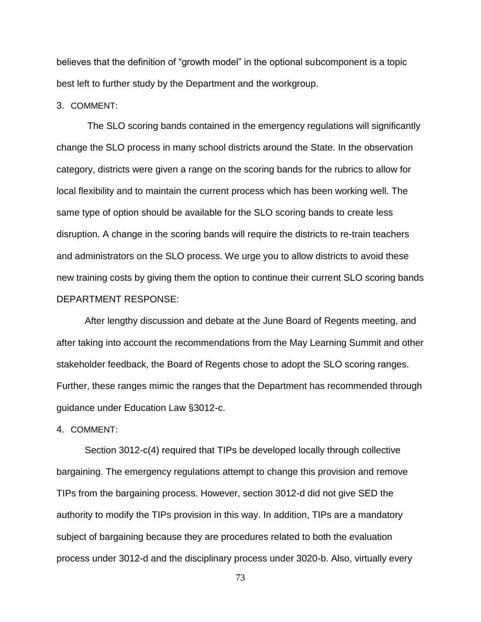believes that the definition of "growth model" in the optional subcomponent is a topic best left to further study by the Department and the workgroup.

3. COMMENT:

The SLO scoring bands contained in the emergency regulations will significantly change the SLO process in many school districts around the State. In the observation category, districts were given a range on the scoring bands for the rubrics to allow for local flexibility and to maintain the current process which has been working well. The same type of option should be available for the SLO scoring bands to create less disruption. A change in the scoring bands will require the districts to re-train teachers and administrators on the SLO process. We urge you to allow districts to avoid these new training costs by giving them the option to continue their current SLO scoring bands DEPARTMENT RESPONSE:

After lengthy discussion and debate at the June Board of Regents meeting, and after taking into account the recommendations from the May Learning Summit and other stakeholder feedback, the Board of Regents chose to adopt the SLO scoring ranges. Further, these ranges mimic the ranges that the Department has recommended through guidance under Education Law §3012-c.

4. COMMENT:

Section 3012-c(4) required that TIPs be developed locally through collective bargaining. The emergency regulations attempt to change this provision and remove TIPs from the bargaining process. However, section 3012-d did not give SED the authority to modify the TIPs provision in this way. In addition, TIPs are a mandatory subject of bargaining because they are procedures related to both the evaluation process under 3012-d and the disciplinary process under 3020-b. Also, virtually every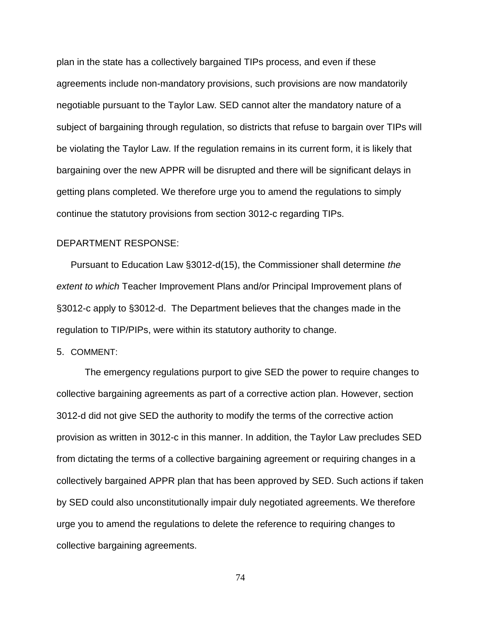plan in the state has a collectively bargained TIPs process, and even if these agreements include non-mandatory provisions, such provisions are now mandatorily negotiable pursuant to the Taylor Law. SED cannot alter the mandatory nature of a subject of bargaining through regulation, so districts that refuse to bargain over TIPs will be violating the Taylor Law. If the regulation remains in its current form, it is likely that bargaining over the new APPR will be disrupted and there will be significant delays in getting plans completed. We therefore urge you to amend the regulations to simply continue the statutory provisions from section 3012-c regarding TIPs.

# DEPARTMENT RESPONSE:

Pursuant to Education Law §3012-d(15), the Commissioner shall determine *the extent to which* Teacher Improvement Plans and/or Principal Improvement plans of §3012-c apply to §3012-d. The Department believes that the changes made in the regulation to TIP/PIPs, were within its statutory authority to change.

5. COMMENT:

The emergency regulations purport to give SED the power to require changes to collective bargaining agreements as part of a corrective action plan. However, section 3012-d did not give SED the authority to modify the terms of the corrective action provision as written in 3012-c in this manner. In addition, the Taylor Law precludes SED from dictating the terms of a collective bargaining agreement or requiring changes in a collectively bargained APPR plan that has been approved by SED. Such actions if taken by SED could also unconstitutionally impair duly negotiated agreements. We therefore urge you to amend the regulations to delete the reference to requiring changes to collective bargaining agreements.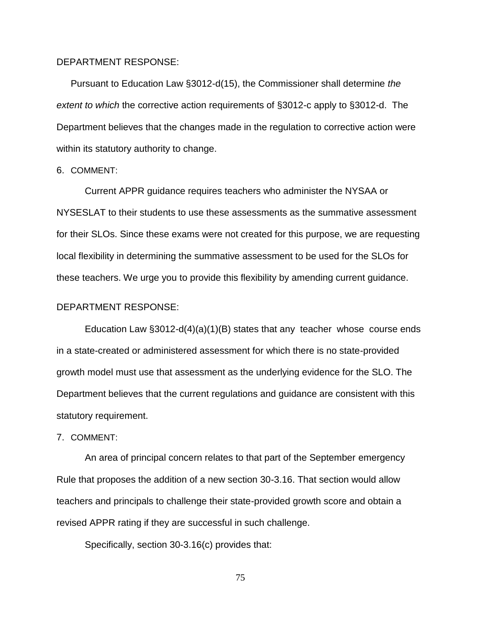## DEPARTMENT RESPONSE:

Pursuant to Education Law §3012-d(15), the Commissioner shall determine *the extent to which* the corrective action requirements of §3012-c apply to §3012-d. The Department believes that the changes made in the regulation to corrective action were within its statutory authority to change.

### 6. COMMENT:

Current APPR guidance requires teachers who administer the NYSAA or NYSESLAT to their students to use these assessments as the summative assessment for their SLOs. Since these exams were not created for this purpose, we are requesting local flexibility in determining the summative assessment to be used for the SLOs for these teachers. We urge you to provide this flexibility by amending current guidance.

### DEPARTMENT RESPONSE:

Education Law  $\S 3012-d(4)(a)(1)(B)$  states that any teacher whose course ends in a state-created or administered assessment for which there is no state-provided growth model must use that assessment as the underlying evidence for the SLO. The Department believes that the current regulations and guidance are consistent with this statutory requirement.

# 7. COMMENT:

An area of principal concern relates to that part of the September emergency Rule that proposes the addition of a new section 30-3.16. That section would allow teachers and principals to challenge their state-provided growth score and obtain a revised APPR rating if they are successful in such challenge.

Specifically, section 30-3.16(c) provides that: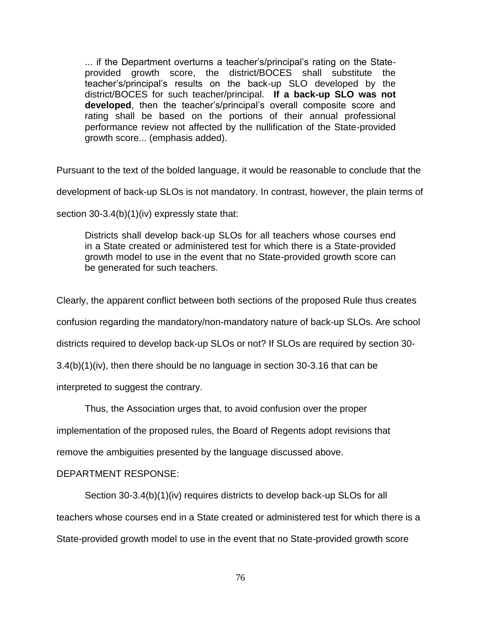... if the Department overturns a teacher's/principal's rating on the Stateprovided growth score, the district/BOCES shall substitute the teacher's/principal's results on the back-up SLO developed by the district/BOCES for such teacher/principal. **If a back-up SLO was not developed**, then the teacher's/principal's overall composite score and rating shall be based on the portions of their annual professional performance review not affected by the nullification of the State-provided growth score... (emphasis added).

Pursuant to the text of the bolded language, it would be reasonable to conclude that the

development of back-up SLOs is not mandatory. In contrast, however, the plain terms of

section 30-3.4(b)(1)(iv) expressly state that:

Districts shall develop back-up SLOs for all teachers whose courses end in a State created or administered test for which there is a State-provided growth model to use in the event that no State-provided growth score can be generated for such teachers.

Clearly, the apparent conflict between both sections of the proposed Rule thus creates

confusion regarding the mandatory/non-mandatory nature of back-up SLOs. Are school

districts required to develop back-up SLOs or not? If SLOs are required by section 30-

3.4(b)(1)(iv), then there should be no language in section 30-3.16 that can be

interpreted to suggest the contrary.

Thus, the Association urges that, to avoid confusion over the proper

implementation of the proposed rules, the Board of Regents adopt revisions that

remove the ambiguities presented by the language discussed above.

# DEPARTMENT RESPONSE:

Section 30-3.4(b)(1)(iv) requires districts to develop back-up SLOs for all teachers whose courses end in a State created or administered test for which there is a State-provided growth model to use in the event that no State-provided growth score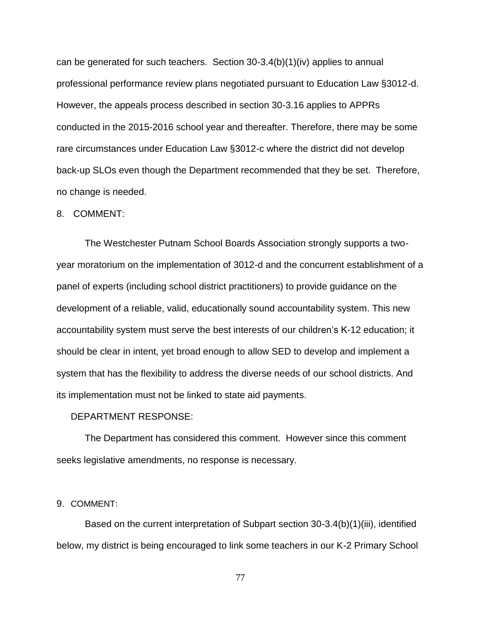can be generated for such teachers. Section  $30-3.4(b)(1)(iv)$  applies to annual professional performance review plans negotiated pursuant to Education Law §3012-d. However, the appeals process described in section 30-3.16 applies to APPRs conducted in the 2015-2016 school year and thereafter. Therefore, there may be some rare circumstances under Education Law §3012-c where the district did not develop back-up SLOs even though the Department recommended that they be set. Therefore, no change is needed.

#### 8. COMMENT:

The Westchester Putnam School Boards Association strongly supports a twoyear moratorium on the implementation of 3012-d and the concurrent establishment of a panel of experts (including school district practitioners) to provide guidance on the development of a reliable, valid, educationally sound accountability system. This new accountability system must serve the best interests of our children's K-12 education; it should be clear in intent, yet broad enough to allow SED to develop and implement a system that has the flexibility to address the diverse needs of our school districts. And its implementation must not be linked to state aid payments.

#### DEPARTMENT RESPONSE:

The Department has considered this comment. However since this comment seeks legislative amendments, no response is necessary.

# 9. COMMENT:

Based on the current interpretation of Subpart section 30-3.4(b)(1)(iii), identified below, my district is being encouraged to link some teachers in our K-2 Primary School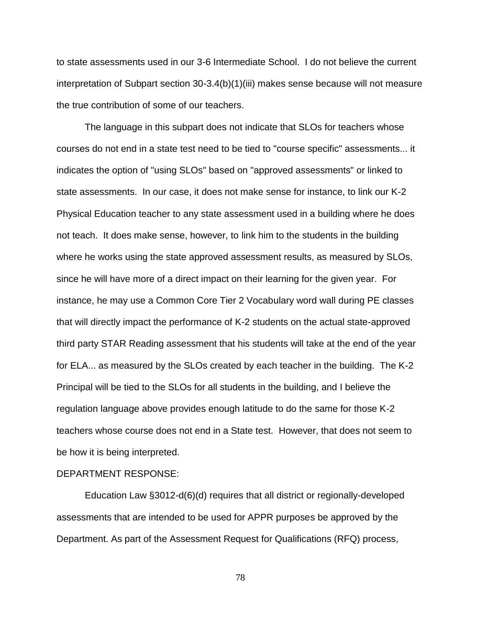to state assessments used in our 3-6 Intermediate School. I do not believe the current interpretation of Subpart section 30-3.4(b)(1)(iii) makes sense because will not measure the true contribution of some of our teachers.

The language in this subpart does not indicate that SLOs for teachers whose courses do not end in a state test need to be tied to "course specific" assessments... it indicates the option of "using SLOs" based on "approved assessments" or linked to state assessments. In our case, it does not make sense for instance, to link our K-2 Physical Education teacher to any state assessment used in a building where he does not teach. It does make sense, however, to link him to the students in the building where he works using the state approved assessment results, as measured by SLOs, since he will have more of a direct impact on their learning for the given year. For instance, he may use a Common Core Tier 2 Vocabulary word wall during PE classes that will directly impact the performance of K-2 students on the actual state-approved third party STAR Reading assessment that his students will take at the end of the year for ELA... as measured by the SLOs created by each teacher in the building. The K-2 Principal will be tied to the SLOs for all students in the building, and I believe the regulation language above provides enough latitude to do the same for those K-2 teachers whose course does not end in a State test. However, that does not seem to be how it is being interpreted.

### DEPARTMENT RESPONSE:

Education Law §3012-d(6)(d) requires that all district or regionally-developed assessments that are intended to be used for APPR purposes be approved by the Department. As part of the Assessment Request for Qualifications (RFQ) process,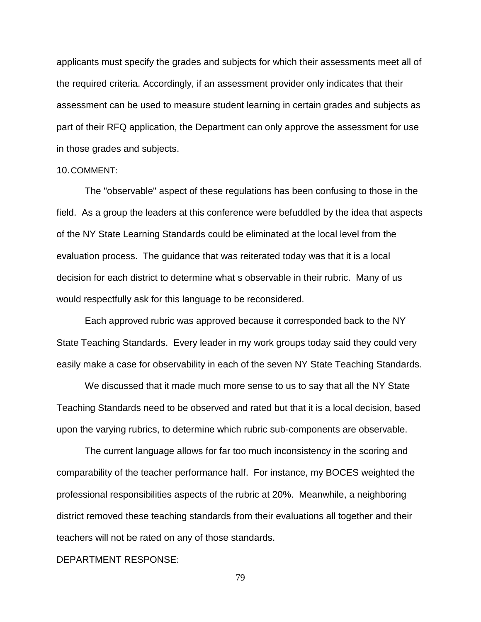applicants must specify the grades and subjects for which their assessments meet all of the required criteria. Accordingly, if an assessment provider only indicates that their assessment can be used to measure student learning in certain grades and subjects as part of their RFQ application, the Department can only approve the assessment for use in those grades and subjects.

#### 10.COMMENT:

The "observable" aspect of these regulations has been confusing to those in the field. As a group the leaders at this conference were befuddled by the idea that aspects of the NY State Learning Standards could be eliminated at the local level from the evaluation process. The guidance that was reiterated today was that it is a local decision for each district to determine what s observable in their rubric. Many of us would respectfully ask for this language to be reconsidered.

Each approved rubric was approved because it corresponded back to the NY State Teaching Standards. Every leader in my work groups today said they could very easily make a case for observability in each of the seven NY State Teaching Standards.

We discussed that it made much more sense to us to say that all the NY State Teaching Standards need to be observed and rated but that it is a local decision, based upon the varying rubrics, to determine which rubric sub-components are observable.

The current language allows for far too much inconsistency in the scoring and comparability of the teacher performance half. For instance, my BOCES weighted the professional responsibilities aspects of the rubric at 20%. Meanwhile, a neighboring district removed these teaching standards from their evaluations all together and their teachers will not be rated on any of those standards.

# DEPARTMENT RESPONSE: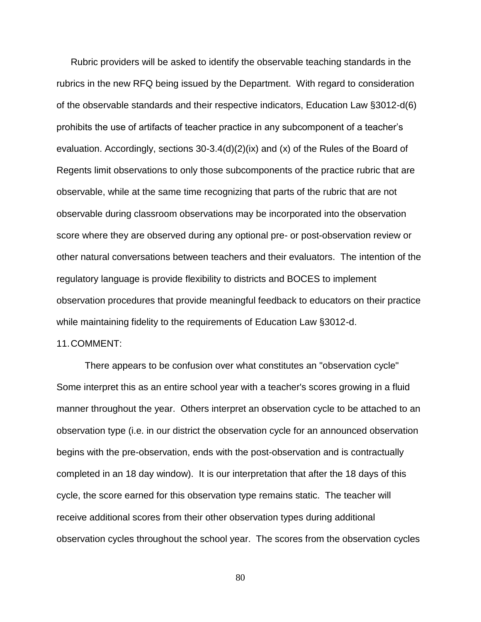Rubric providers will be asked to identify the observable teaching standards in the rubrics in the new RFQ being issued by the Department. With regard to consideration of the observable standards and their respective indicators, Education Law §3012-d(6) prohibits the use of artifacts of teacher practice in any subcomponent of a teacher's evaluation. Accordingly, sections 30-3.4(d)(2)(ix) and (x) of the Rules of the Board of Regents limit observations to only those subcomponents of the practice rubric that are observable, while at the same time recognizing that parts of the rubric that are not observable during classroom observations may be incorporated into the observation score where they are observed during any optional pre- or post-observation review or other natural conversations between teachers and their evaluators. The intention of the regulatory language is provide flexibility to districts and BOCES to implement observation procedures that provide meaningful feedback to educators on their practice while maintaining fidelity to the requirements of Education Law §3012-d.

### 11.COMMENT:

There appears to be confusion over what constitutes an "observation cycle" Some interpret this as an entire school year with a teacher's scores growing in a fluid manner throughout the year. Others interpret an observation cycle to be attached to an observation type (i.e. in our district the observation cycle for an announced observation begins with the pre-observation, ends with the post-observation and is contractually completed in an 18 day window). It is our interpretation that after the 18 days of this cycle, the score earned for this observation type remains static. The teacher will receive additional scores from their other observation types during additional observation cycles throughout the school year. The scores from the observation cycles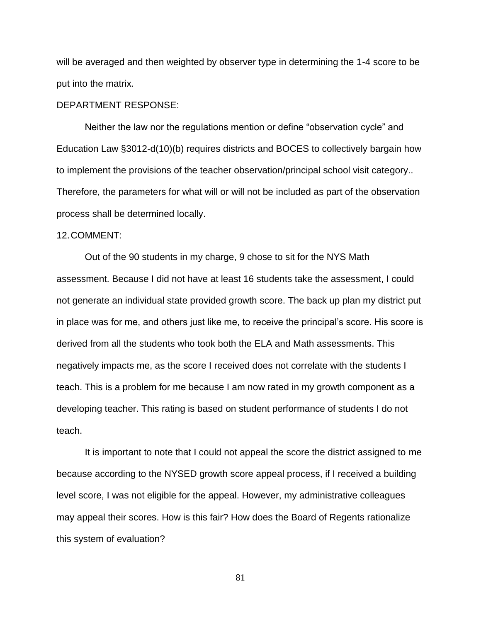will be averaged and then weighted by observer type in determining the 1-4 score to be put into the matrix.

# DEPARTMENT RESPONSE:

Neither the law nor the regulations mention or define "observation cycle" and Education Law §3012-d(10)(b) requires districts and BOCES to collectively bargain how to implement the provisions of the teacher observation/principal school visit category.. Therefore, the parameters for what will or will not be included as part of the observation process shall be determined locally.

# 12.COMMENT:

Out of the 90 students in my charge, 9 chose to sit for the NYS Math assessment. Because I did not have at least 16 students take the assessment, I could not generate an individual state provided growth score. The back up plan my district put in place was for me, and others just like me, to receive the principal's score. His score is derived from all the students who took both the ELA and Math assessments. This negatively impacts me, as the score I received does not correlate with the students I teach. This is a problem for me because I am now rated in my growth component as a developing teacher. This rating is based on student performance of students I do not teach.

It is important to note that I could not appeal the score the district assigned to me because according to the NYSED growth score appeal process, if I received a building level score, I was not eligible for the appeal. However, my administrative colleagues may appeal their scores. How is this fair? How does the Board of Regents rationalize this system of evaluation?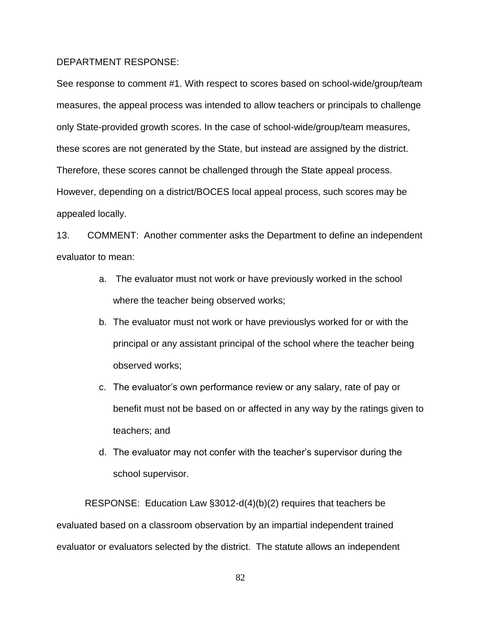### DEPARTMENT RESPONSE:

See response to comment #1. With respect to scores based on school-wide/group/team measures, the appeal process was intended to allow teachers or principals to challenge only State-provided growth scores. In the case of school-wide/group/team measures, these scores are not generated by the State, but instead are assigned by the district. Therefore, these scores cannot be challenged through the State appeal process. However, depending on a district/BOCES local appeal process, such scores may be appealed locally.

13. COMMENT: Another commenter asks the Department to define an independent evaluator to mean:

- a. The evaluator must not work or have previously worked in the school where the teacher being observed works;
- b. The evaluator must not work or have previouslys worked for or with the principal or any assistant principal of the school where the teacher being observed works;
- c. The evaluator's own performance review or any salary, rate of pay or benefit must not be based on or affected in any way by the ratings given to teachers; and
- d. The evaluator may not confer with the teacher's supervisor during the school supervisor.

RESPONSE: Education Law §3012-d(4)(b)(2) requires that teachers be evaluated based on a classroom observation by an impartial independent trained evaluator or evaluators selected by the district. The statute allows an independent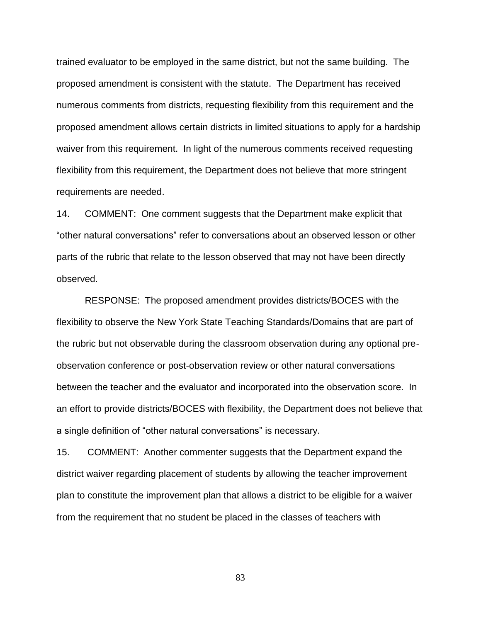trained evaluator to be employed in the same district, but not the same building. The proposed amendment is consistent with the statute. The Department has received numerous comments from districts, requesting flexibility from this requirement and the proposed amendment allows certain districts in limited situations to apply for a hardship waiver from this requirement. In light of the numerous comments received requesting flexibility from this requirement, the Department does not believe that more stringent requirements are needed.

14. COMMENT: One comment suggests that the Department make explicit that "other natural conversations" refer to conversations about an observed lesson or other parts of the rubric that relate to the lesson observed that may not have been directly observed.

RESPONSE: The proposed amendment provides districts/BOCES with the flexibility to observe the New York State Teaching Standards/Domains that are part of the rubric but not observable during the classroom observation during any optional preobservation conference or post-observation review or other natural conversations between the teacher and the evaluator and incorporated into the observation score. In an effort to provide districts/BOCES with flexibility, the Department does not believe that a single definition of "other natural conversations" is necessary.

15. COMMENT: Another commenter suggests that the Department expand the district waiver regarding placement of students by allowing the teacher improvement plan to constitute the improvement plan that allows a district to be eligible for a waiver from the requirement that no student be placed in the classes of teachers with